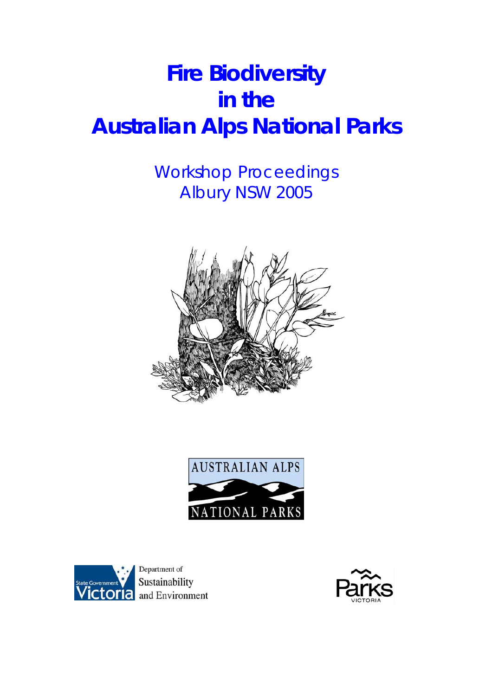# **Fire Biodiversity**  *in the*  **Australian Alps National Parks**

## Workshop Proceedings Albury NSW 2005







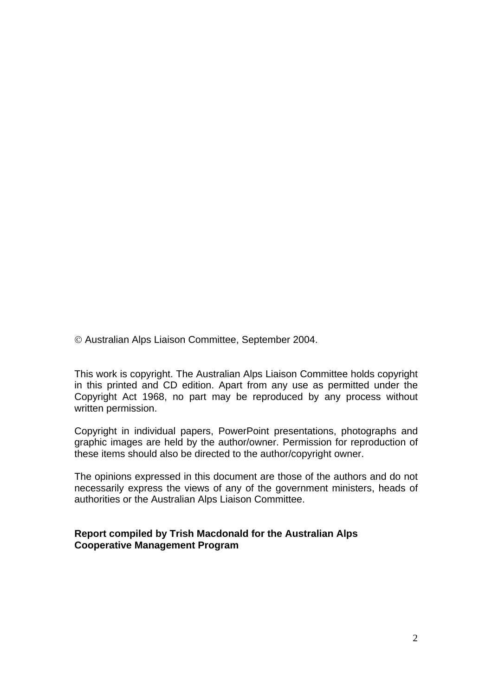© Australian Alps Liaison Committee, September 2004.

This work is copyright. The Australian Alps Liaison Committee holds copyright in this printed and CD edition. Apart from any use as permitted under the Copyright Act 1968, no part may be reproduced by any process without written permission.

Copyright in individual papers, PowerPoint presentations, photographs and graphic images are held by the author/owner. Permission for reproduction of these items should also be directed to the author/copyright owner.

The opinions expressed in this document are those of the authors and do not necessarily express the views of any of the government ministers, heads of authorities or the Australian Alps Liaison Committee.

### **Report compiled by Trish Macdonald for the Australian Alps Cooperative Management Program**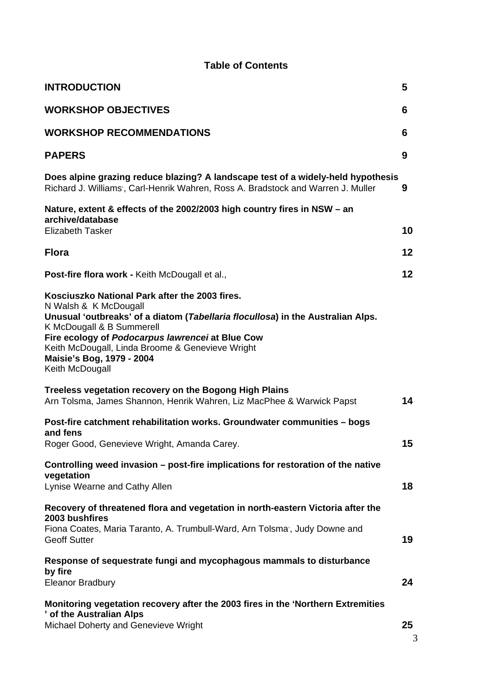## **Table of Contents**

| <b>INTRODUCTION</b>                                                                                                                                                                                                                                                                                                                             | 5  |
|-------------------------------------------------------------------------------------------------------------------------------------------------------------------------------------------------------------------------------------------------------------------------------------------------------------------------------------------------|----|
| <b>WORKSHOP OBJECTIVES</b>                                                                                                                                                                                                                                                                                                                      | 6  |
| <b>WORKSHOP RECOMMENDATIONS</b>                                                                                                                                                                                                                                                                                                                 | 6  |
| <b>PAPERS</b>                                                                                                                                                                                                                                                                                                                                   | 9  |
| Does alpine grazing reduce blazing? A landscape test of a widely-held hypothesis<br>Richard J. Williams', Carl-Henrik Wahren, Ross A. Bradstock and Warren J. Muller                                                                                                                                                                            | 9  |
| Nature, extent & effects of the 2002/2003 high country fires in NSW - an<br>archive/database<br><b>Elizabeth Tasker</b>                                                                                                                                                                                                                         | 10 |
| <b>Flora</b>                                                                                                                                                                                                                                                                                                                                    | 12 |
| Post-fire flora work - Keith McDougall et al.,                                                                                                                                                                                                                                                                                                  | 12 |
| Kosciuszko National Park after the 2003 fires.<br>N Walsh & K McDougall<br>Unusual 'outbreaks' of a diatom (Tabellaria flocullosa) in the Australian Alps.<br>K McDougall & B Summerell<br>Fire ecology of Podocarpus lawrencei at Blue Cow<br>Keith McDougall, Linda Broome & Genevieve Wright<br>Maisie's Bog, 1979 - 2004<br>Keith McDougall |    |
| Treeless vegetation recovery on the Bogong High Plains<br>Arn Tolsma, James Shannon, Henrik Wahren, Liz MacPhee & Warwick Papst                                                                                                                                                                                                                 | 14 |
| Post-fire catchment rehabilitation works. Groundwater communities - bogs<br>and fens<br>Roger Good, Genevieve Wright, Amanda Carey.                                                                                                                                                                                                             | 15 |
| Controlling weed invasion – post-fire implications for restoration of the native<br>vegetation<br>Lynise Wearne and Cathy Allen                                                                                                                                                                                                                 | 18 |
| Recovery of threatened flora and vegetation in north-eastern Victoria after the<br>2003 bushfires<br>Fiona Coates, Maria Taranto, A. Trumbull-Ward, Arn Tolsma, Judy Downe and<br><b>Geoff Sutter</b>                                                                                                                                           | 19 |
| Response of sequestrate fungi and mycophagous mammals to disturbance<br>by fire<br><b>Eleanor Bradbury</b>                                                                                                                                                                                                                                      | 24 |
| Monitoring vegetation recovery after the 2003 fires in the 'Northern Extremities<br>' of the Australian Alps<br>Michael Doherty and Genevieve Wright                                                                                                                                                                                            | 25 |

3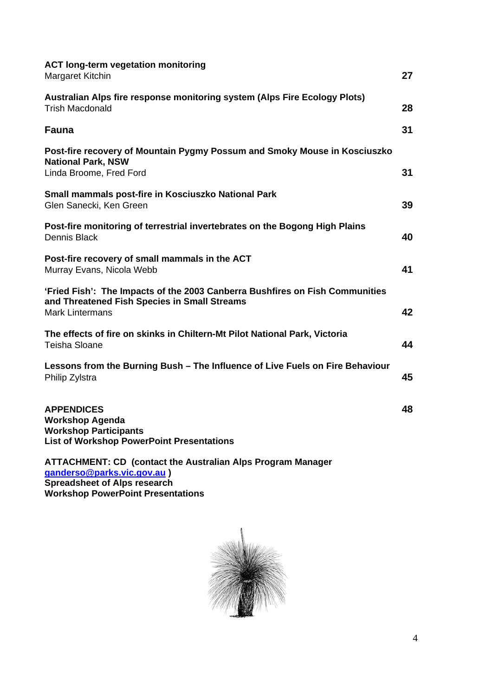| <b>ACT long-term vegetation monitoring</b><br>Margaret Kitchin                                                                                         | 27 |
|--------------------------------------------------------------------------------------------------------------------------------------------------------|----|
| Australian Alps fire response monitoring system (Alps Fire Ecology Plots)<br><b>Trish Macdonald</b>                                                    | 28 |
| <b>Fauna</b>                                                                                                                                           | 31 |
| Post-fire recovery of Mountain Pygmy Possum and Smoky Mouse in Kosciuszko<br><b>National Park, NSW</b><br>Linda Broome, Fred Ford                      | 31 |
| Small mammals post-fire in Kosciuszko National Park<br>Glen Sanecki, Ken Green                                                                         | 39 |
| Post-fire monitoring of terrestrial invertebrates on the Bogong High Plains<br><b>Dennis Black</b>                                                     | 40 |
| Post-fire recovery of small mammals in the ACT<br>Murray Evans, Nicola Webb                                                                            | 41 |
| 'Fried Fish': The Impacts of the 2003 Canberra Bushfires on Fish Communities<br>and Threatened Fish Species in Small Streams<br><b>Mark Lintermans</b> | 42 |
| The effects of fire on skinks in Chiltern-Mt Pilot National Park, Victoria<br><b>Teisha Sloane</b>                                                     | 44 |
| Lessons from the Burning Bush - The Influence of Live Fuels on Fire Behaviour<br>Philip Zylstra                                                        | 45 |
| <b>APPENDICES</b><br><b>Workshop Agenda</b><br><b>Workshop Participants</b><br><b>List of Workshop PowerPoint Presentations</b>                        | 48 |

#### **ATTACHMENT: CD (contact the Australian Alps Program Manager [ganderso@parks.vic.gov.au](mailto:ganderso@parks.vic.gov.au) ) Spreadsheet of Alps research Workshop PowerPoint Presentations**

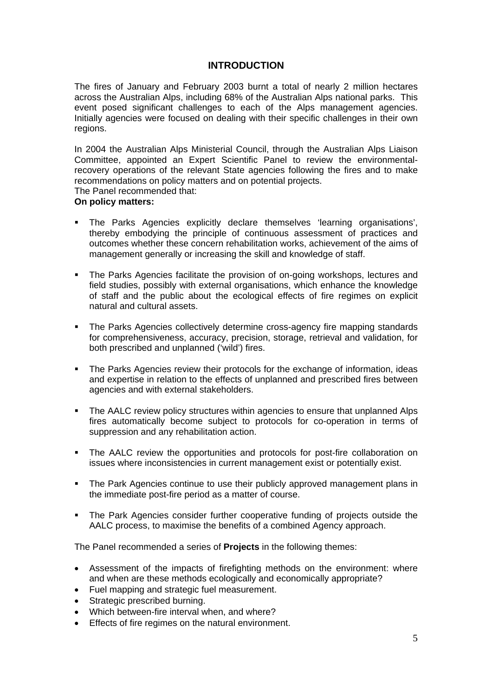## **INTRODUCTION**

The fires of January and February 2003 burnt a total of nearly 2 million hectares across the Australian Alps, including 68% of the Australian Alps national parks. This event posed significant challenges to each of the Alps management agencies. Initially agencies were focused on dealing with their specific challenges in their own regions.

In 2004 the Australian Alps Ministerial Council, through the Australian Alps Liaison Committee, appointed an Expert Scientific Panel to review the environmentalrecovery operations of the relevant State agencies following the fires and to make recommendations on policy matters and on potential projects.

The Panel recommended that:

#### **On policy matters:**

- The Parks Agencies explicitly declare themselves 'learning organisations', thereby embodying the principle of continuous assessment of practices and outcomes whether these concern rehabilitation works, achievement of the aims of management generally or increasing the skill and knowledge of staff.
- The Parks Agencies facilitate the provision of on-going workshops, lectures and field studies, possibly with external organisations, which enhance the knowledge of staff and the public about the ecological effects of fire regimes on explicit natural and cultural assets.
- The Parks Agencies collectively determine cross-agency fire mapping standards for comprehensiveness, accuracy, precision, storage, retrieval and validation, for both prescribed and unplanned ('wild') fires.
- The Parks Agencies review their protocols for the exchange of information, ideas and expertise in relation to the effects of unplanned and prescribed fires between agencies and with external stakeholders.
- The AALC review policy structures within agencies to ensure that unplanned Alps fires automatically become subject to protocols for co-operation in terms of suppression and any rehabilitation action.
- The AALC review the opportunities and protocols for post-fire collaboration on issues where inconsistencies in current management exist or potentially exist.
- The Park Agencies continue to use their publicly approved management plans in the immediate post-fire period as a matter of course.
- The Park Agencies consider further cooperative funding of projects outside the AALC process, to maximise the benefits of a combined Agency approach.

The Panel recommended a series of **Projects** in the following themes:

- Assessment of the impacts of firefighting methods on the environment: where and when are these methods ecologically and economically appropriate?
- Fuel mapping and strategic fuel measurement.
- Strategic prescribed burning.
- Which between-fire interval when, and where?
- Effects of fire regimes on the natural environment.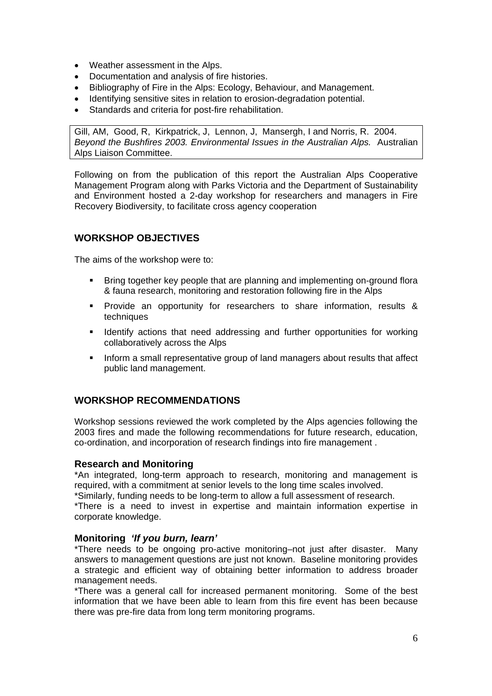- Weather assessment in the Alps.
- Documentation and analysis of fire histories.
- Bibliography of Fire in the Alps: Ecology, Behaviour, and Management.
- Identifying sensitive sites in relation to erosion-degradation potential.
- Standards and criteria for post-fire rehabilitation.

Gill, AM, Good, R, Kirkpatrick, J, Lennon, J, Mansergh, I and Norris, R. 2004. *Beyond the Bushfires 2003. Environmental Issues in the Australian Alps.* Australian Alps Liaison Committee.

Following on from the publication of this report the Australian Alps Cooperative Management Program along with Parks Victoria and the Department of Sustainability and Environment hosted a 2-day workshop for researchers and managers in Fire Recovery Biodiversity, to facilitate cross agency cooperation

## **WORKSHOP OBJECTIVES**

The aims of the workshop were to:

- Bring together key people that are planning and implementing on-ground flora & fauna research, monitoring and restoration following fire in the Alps
- Provide an opportunity for researchers to share information, results & techniques
- **IDENTIFY ACTIONS IS A 20 ADDITION I**nter opportunities for working collaboratively across the Alps
- Inform a small representative group of land managers about results that affect public land management.

## **WORKSHOP RECOMMENDATIONS**

Workshop sessions reviewed the work completed by the Alps agencies following the 2003 fires and made the following recommendations for future research, education, co-ordination, and incorporation of research findings into fire management .

#### **Research and Monitoring**

\*An integrated, long-term approach to research, monitoring and management is required, with a commitment at senior levels to the long time scales involved.

\*Similarly, funding needs to be long-term to allow a full assessment of research.

\*There is a need to invest in expertise and maintain information expertise in corporate knowledge.

#### **Monitoring** *'If you burn, learn'*

\*There needs to be ongoing pro-active monitoring–not just after disaster. Many answers to management questions are just not known. Baseline monitoring provides a strategic and efficient way of obtaining better information to address broader management needs.

\*There was a general call for increased permanent monitoring. Some of the best information that we have been able to learn from this fire event has been because there was pre-fire data from long term monitoring programs.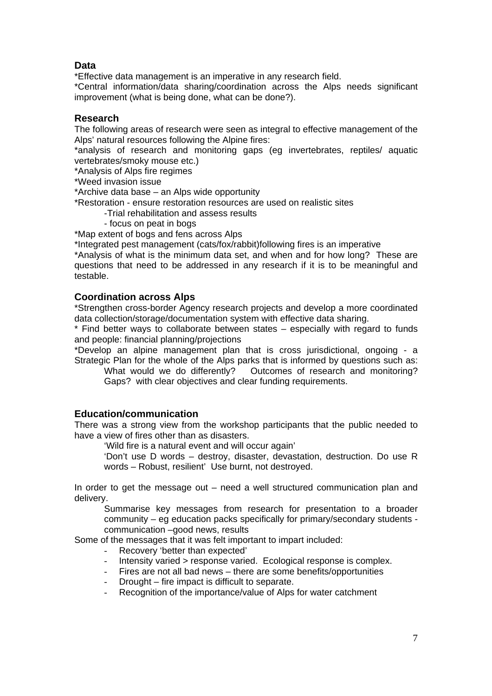## **Data**

\*Effective data management is an imperative in any research field.

\*Central information/data sharing/coordination across the Alps needs significant improvement (what is being done, what can be done?).

#### **Research**

The following areas of research were seen as integral to effective management of the Alps' natural resources following the Alpine fires:

\*analysis of research and monitoring gaps (eg invertebrates, reptiles/ aquatic vertebrates/smoky mouse etc.)

\*Analysis of Alps fire regimes

\*Weed invasion issue

\*Archive data base – an Alps wide opportunity

\*Restoration - ensure restoration resources are used on realistic sites

-Trial rehabilitation and assess results

- focus on peat in bogs

\*Map extent of bogs and fens across Alps

\*Integrated pest management (cats/fox/rabbit)following fires is an imperative

\*Analysis of what is the minimum data set, and when and for how long? These are questions that need to be addressed in any research if it is to be meaningful and testable.

#### **Coordination across Alps**

\*Strengthen cross-border Agency research projects and develop a more coordinated data collection/storage/documentation system with effective data sharing.

\* Find better ways to collaborate between states – especially with regard to funds and people: financial planning/projections

\*Develop an alpine management plan that is cross jurisdictional, ongoing - a Strategic Plan for the whole of the Alps parks that is informed by questions such as:

 What would we do differently? Outcomes of research and monitoring? Gaps? with clear objectives and clear funding requirements.

#### **Education/communication**

There was a strong view from the workshop participants that the public needed to have a view of fires other than as disasters.

'Wild fire is a natural event and will occur again'

'Don't use D words – destroy, disaster, devastation, destruction. Do use R words – Robust, resilient' Use burnt, not destroyed.

In order to get the message out – need a well structured communication plan and delivery.

Summarise key messages from research for presentation to a broader community – eg education packs specifically for primary/secondary students communication –good news, results

Some of the messages that it was felt important to impart included:

- Recovery 'better than expected'
- Intensity varied > response varied. Ecological response is complex.
- Fires are not all bad news there are some benefits/opportunities
- Drought fire impact is difficult to separate.
- Recognition of the importance/value of Alps for water catchment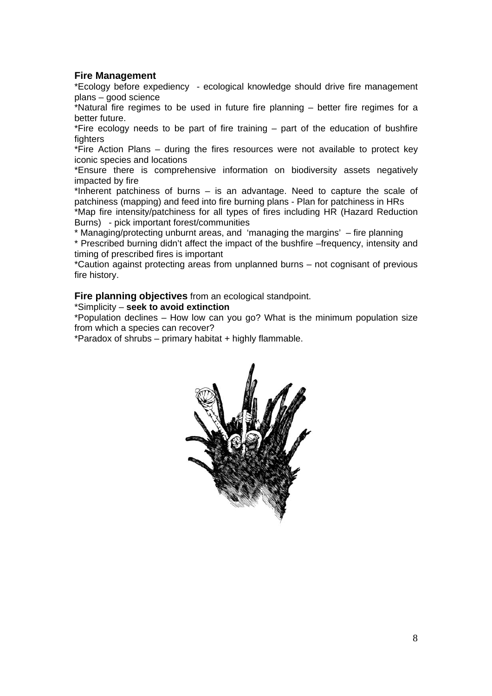#### **Fire Management**

\*Ecology before expediency - ecological knowledge should drive fire management plans – good science

\*Natural fire regimes to be used in future fire planning – better fire regimes for a better future.

\*Fire ecology needs to be part of fire training – part of the education of bushfire fighters

\*Fire Action Plans – during the fires resources were not available to protect key iconic species and locations

\*Ensure there is comprehensive information on biodiversity assets negatively impacted by fire

\*Inherent patchiness of burns – is an advantage. Need to capture the scale of patchiness (mapping) and feed into fire burning plans - Plan for patchiness in HRs

\*Map fire intensity/patchiness for all types of fires including HR (Hazard Reduction Burns) - pick important forest/communities

\* Managing/protecting unburnt areas, and 'managing the margins' – fire planning

\* Prescribed burning didn't affect the impact of the bushfire –frequency, intensity and timing of prescribed fires is important

\*Caution against protecting areas from unplanned burns – not cognisant of previous fire history.

**Fire planning objectives** from an ecological standpoint.

#### \*Simplicity – **seek to avoid extinction**

\*Population declines – How low can you go? What is the minimum population size from which a species can recover?

\*Paradox of shrubs – primary habitat  $+$  highly flammable.

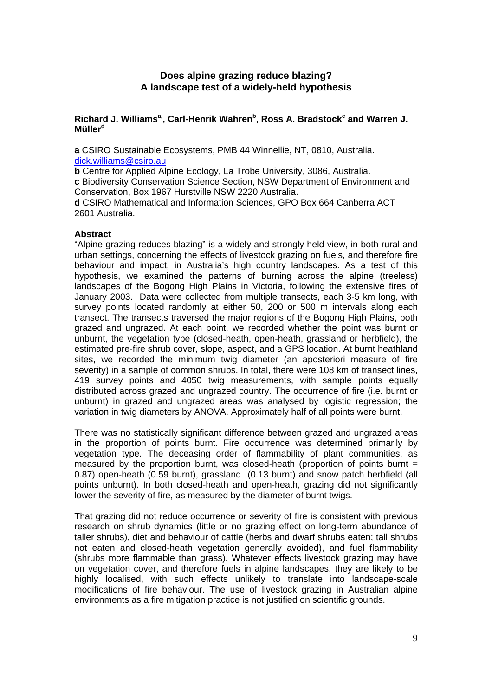## **Does alpine grazing reduce blazing? A landscape test of a widely-held hypothesis**

#### Richard J. Williams<sup>a,</sup>, Carl-Henrik Wahren<sup>b</sup>, Ross A. Bradstock<sup>c</sup> and Warren J. **Müllerd**

**a** CSIRO Sustainable Ecosystems, PMB 44 Winnellie, NT, 0810, Australia. [dick.williams@csiro.au](mailto:dick.williams@csiro.au)

**b** Centre for Applied Alpine Ecology, La Trobe University, 3086, Australia.

**c** Biodiversity Conservation Science Section, NSW Department of Environment and Conservation, Box 1967 Hurstville NSW 2220 Australia.

**d** CSIRO Mathematical and Information Sciences, GPO Box 664 Canberra ACT 2601 Australia.

#### **Abstract**

"Alpine grazing reduces blazing" is a widely and strongly held view, in both rural and urban settings, concerning the effects of livestock grazing on fuels, and therefore fire behaviour and impact, in Australia's high country landscapes. As a test of this hypothesis, we examined the patterns of burning across the alpine (treeless) landscapes of the Bogong High Plains in Victoria, following the extensive fires of January 2003. Data were collected from multiple transects, each 3-5 km long, with survey points located randomly at either 50, 200 or 500 m intervals along each transect. The transects traversed the major regions of the Bogong High Plains, both grazed and ungrazed. At each point, we recorded whether the point was burnt or unburnt, the vegetation type (closed-heath, open-heath, grassland or herbfield), the estimated pre-fire shrub cover, slope, aspect, and a GPS location. At burnt heathland sites, we recorded the minimum twig diameter (an aposteriori measure of fire severity) in a sample of common shrubs. In total, there were 108 km of transect lines, 419 survey points and 4050 twig measurements, with sample points equally distributed across grazed and ungrazed country. The occurrence of fire (i.e. burnt or unburnt) in grazed and ungrazed areas was analysed by logistic regression; the variation in twig diameters by ANOVA. Approximately half of all points were burnt.

There was no statistically significant difference between grazed and ungrazed areas in the proportion of points burnt. Fire occurrence was determined primarily by vegetation type. The deceasing order of flammability of plant communities, as measured by the proportion burnt, was closed-heath (proportion of points burnt  $=$ 0.87) open-heath (0.59 burnt), grassland (0.13 burnt) and snow patch herbfield (all points unburnt). In both closed-heath and open-heath, grazing did not significantly lower the severity of fire, as measured by the diameter of burnt twigs.

That grazing did not reduce occurrence or severity of fire is consistent with previous research on shrub dynamics (little or no grazing effect on long-term abundance of taller shrubs), diet and behaviour of cattle (herbs and dwarf shrubs eaten; tall shrubs not eaten and closed-heath vegetation generally avoided), and fuel flammability (shrubs more flammable than grass). Whatever effects livestock grazing may have on vegetation cover, and therefore fuels in alpine landscapes, they are likely to be highly localised, with such effects unlikely to translate into landscape-scale modifications of fire behaviour. The use of livestock grazing in Australian alpine environments as a fire mitigation practice is not justified on scientific grounds.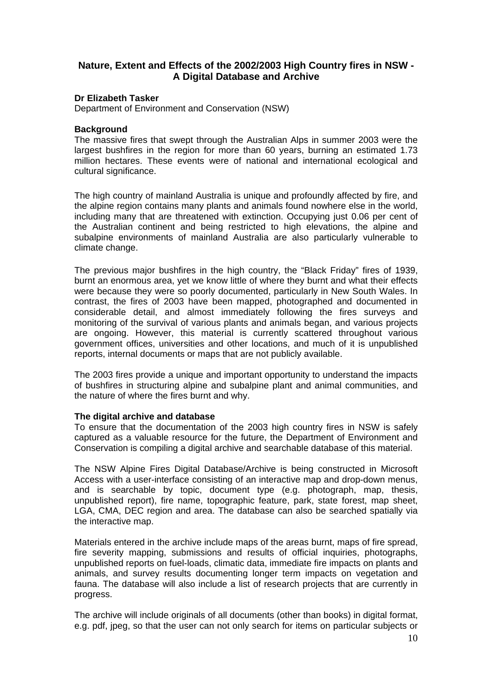## **Nature, Extent and Effects of the 2002/2003 High Country fires in NSW - A Digital Database and Archive**

#### **Dr Elizabeth Tasker**

Department of Environment and Conservation (NSW)

#### **Background**

The massive fires that swept through the Australian Alps in summer 2003 were the largest bushfires in the region for more than 60 years, burning an estimated 1.73 million hectares. These events were of national and international ecological and cultural significance.

The high country of mainland Australia is unique and profoundly affected by fire, and the alpine region contains many plants and animals found nowhere else in the world, including many that are threatened with extinction. Occupying just 0.06 per cent of the Australian continent and being restricted to high elevations, the alpine and subalpine environments of mainland Australia are also particularly vulnerable to climate change.

The previous major bushfires in the high country, the "Black Friday" fires of 1939, burnt an enormous area, yet we know little of where they burnt and what their effects were because they were so poorly documented, particularly in New South Wales. In contrast, the fires of 2003 have been mapped, photographed and documented in considerable detail, and almost immediately following the fires surveys and monitoring of the survival of various plants and animals began, and various projects are ongoing. However, this material is currently scattered throughout various government offices, universities and other locations, and much of it is unpublished reports, internal documents or maps that are not publicly available.

The 2003 fires provide a unique and important opportunity to understand the impacts of bushfires in structuring alpine and subalpine plant and animal communities, and the nature of where the fires burnt and why.

#### **The digital archive and database**

To ensure that the documentation of the 2003 high country fires in NSW is safely captured as a valuable resource for the future, the Department of Environment and Conservation is compiling a digital archive and searchable database of this material.

The NSW Alpine Fires Digital Database/Archive is being constructed in Microsoft Access with a user-interface consisting of an interactive map and drop-down menus, and is searchable by topic, document type (e.g. photograph, map, thesis, unpublished report), fire name, topographic feature, park, state forest, map sheet, LGA, CMA, DEC region and area. The database can also be searched spatially via the interactive map.

Materials entered in the archive include maps of the areas burnt, maps of fire spread, fire severity mapping, submissions and results of official inquiries, photographs, unpublished reports on fuel-loads, climatic data, immediate fire impacts on plants and animals, and survey results documenting longer term impacts on vegetation and fauna. The database will also include a list of research projects that are currently in progress.

The archive will include originals of all documents (other than books) in digital format, e.g. pdf, jpeg, so that the user can not only search for items on particular subjects or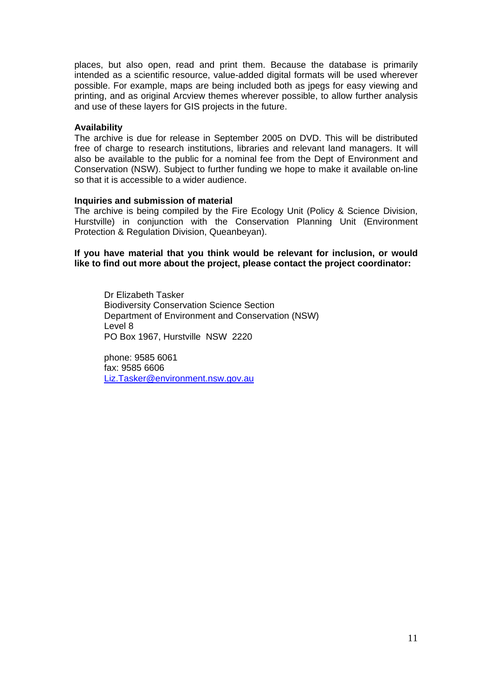places, but also open, read and print them. Because the database is primarily intended as a scientific resource, value-added digital formats will be used wherever possible. For example, maps are being included both as jpegs for easy viewing and printing, and as original Arcview themes wherever possible, to allow further analysis and use of these layers for GIS projects in the future.

#### **Availability**

The archive is due for release in September 2005 on DVD. This will be distributed free of charge to research institutions, libraries and relevant land managers. It will also be available to the public for a nominal fee from the Dept of Environment and Conservation (NSW). Subject to further funding we hope to make it available on-line so that it is accessible to a wider audience.

#### **Inquiries and submission of material**

The archive is being compiled by the Fire Ecology Unit (Policy & Science Division, Hurstville) in conjunction with the Conservation Planning Unit (Environment Protection & Regulation Division, Queanbeyan).

**If you have material that you think would be relevant for inclusion, or would like to find out more about the project, please contact the project coordinator:** 

Dr Elizabeth Tasker Biodiversity Conservation Science Section Department of Environment and Conservation (NSW) Level 8 PO Box 1967, Hurstville NSW 2220

phone: 9585 6061 fax: 9585 6606 [Liz.Tasker@environment.nsw.gov.au](mailto:Liz.Tasker@environment.nsw.gov.au)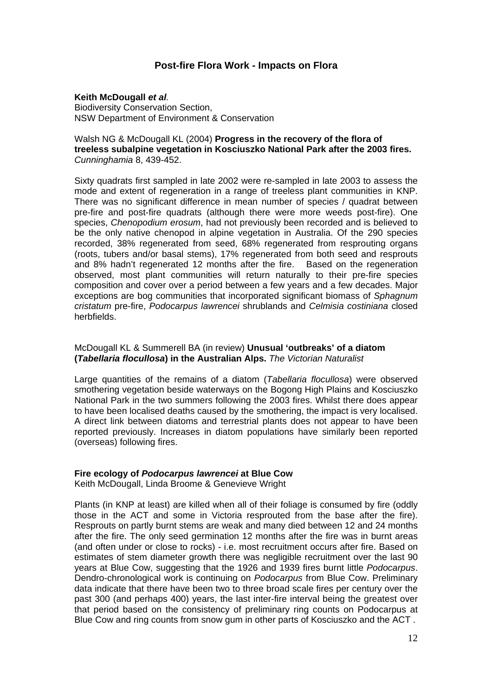#### **Post-fire Flora Work - Impacts on Flora**

#### **Keith McDougall** *et al.*

Biodiversity Conservation Section, NSW Department of Environment & Conservation

#### Walsh NG & McDougall KL (2004) **Progress in the recovery of the flora of treeless subalpine vegetation in Kosciuszko National Park after the 2003 fires.** *Cunninghamia* 8, 439-452.

Sixty quadrats first sampled in late 2002 were re-sampled in late 2003 to assess the mode and extent of regeneration in a range of treeless plant communities in KNP. There was no significant difference in mean number of species / quadrat between pre-fire and post-fire quadrats (although there were more weeds post-fire). One species, *Chenopodium erosum*, had not previously been recorded and is believed to be the only native chenopod in alpine vegetation in Australia. Of the 290 species recorded, 38% regenerated from seed, 68% regenerated from resprouting organs (roots, tubers and/or basal stems), 17% regenerated from both seed and resprouts and 8% hadn't regenerated 12 months after the fire. Based on the regeneration observed, most plant communities will return naturally to their pre-fire species composition and cover over a period between a few years and a few decades. Major exceptions are bog communities that incorporated significant biomass of *Sphagnum cristatum* pre-fire, *Podocarpus lawrencei* shrublands and *Celmisia costiniana* closed herbfields.

#### McDougall KL & Summerell BA (in review) **Unusual 'outbreaks' of a diatom (***Tabellaria flocullosa***) in the Australian Alps.** *The Victorian Naturalist*

Large quantities of the remains of a diatom (*Tabellaria flocullosa*) were observed smothering vegetation beside waterways on the Bogong High Plains and Kosciuszko National Park in the two summers following the 2003 fires. Whilst there does appear to have been localised deaths caused by the smothering, the impact is very localised. A direct link between diatoms and terrestrial plants does not appear to have been reported previously. Increases in diatom populations have similarly been reported (overseas) following fires.

#### **Fire ecology of** *Podocarpus lawrencei* **at Blue Cow**

Keith McDougall, Linda Broome & Genevieve Wright

Plants (in KNP at least) are killed when all of their foliage is consumed by fire (oddly those in the ACT and some in Victoria resprouted from the base after the fire). Resprouts on partly burnt stems are weak and many died between 12 and 24 months after the fire. The only seed germination 12 months after the fire was in burnt areas (and often under or close to rocks) - i.e. most recruitment occurs after fire. Based on estimates of stem diameter growth there was negligible recruitment over the last 90 years at Blue Cow, suggesting that the 1926 and 1939 fires burnt little *Podocarpus*. Dendro-chronological work is continuing on *Podocarpus* from Blue Cow. Preliminary data indicate that there have been two to three broad scale fires per century over the past 300 (and perhaps 400) years, the last inter-fire interval being the greatest over that period based on the consistency of preliminary ring counts on Podocarpus at Blue Cow and ring counts from snow gum in other parts of Kosciuszko and the ACT .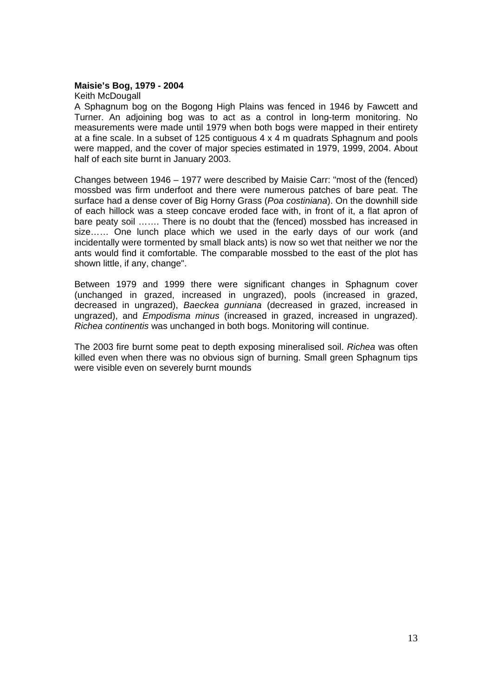#### **Maisie's Bog, 1979 - 2004**

Keith McDougall

A Sphagnum bog on the Bogong High Plains was fenced in 1946 by Fawcett and Turner. An adjoining bog was to act as a control in long-term monitoring. No measurements were made until 1979 when both bogs were mapped in their entirety at a fine scale. In a subset of 125 contiguous 4 x 4 m quadrats Sphagnum and pools were mapped, and the cover of major species estimated in 1979, 1999, 2004. About half of each site burnt in January 2003.

Changes between 1946 – 1977 were described by Maisie Carr: "most of the (fenced) mossbed was firm underfoot and there were numerous patches of bare peat. The surface had a dense cover of Big Horny Grass (*Poa costiniana*). On the downhill side of each hillock was a steep concave eroded face with, in front of it, a flat apron of bare peaty soil ……. There is no doubt that the (fenced) mossbed has increased in size…… One lunch place which we used in the early days of our work (and incidentally were tormented by small black ants) is now so wet that neither we nor the ants would find it comfortable. The comparable mossbed to the east of the plot has shown little, if any, change".

Between 1979 and 1999 there were significant changes in Sphagnum cover (unchanged in grazed, increased in ungrazed), pools (increased in grazed, decreased in ungrazed), *Baeckea gunniana* (decreased in grazed, increased in ungrazed), and *Empodisma minus* (increased in grazed, increased in ungrazed). *Richea continentis* was unchanged in both bogs. Monitoring will continue.

The 2003 fire burnt some peat to depth exposing mineralised soil. *Richea* was often killed even when there was no obvious sign of burning. Small green Sphagnum tips were visible even on severely burnt mounds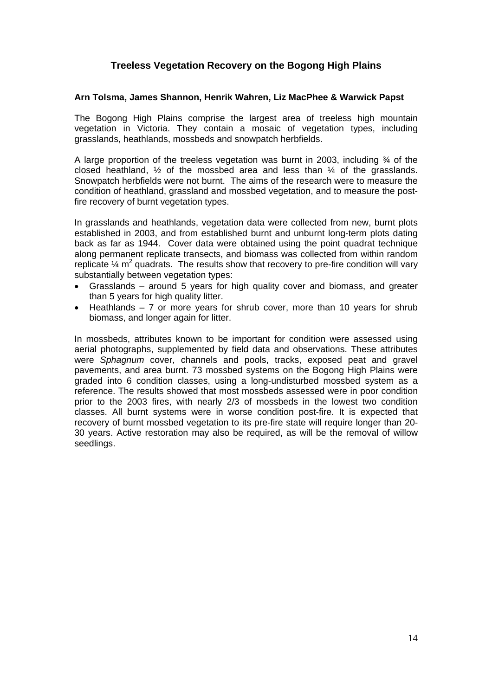## **Treeless Vegetation Recovery on the Bogong High Plains**

#### **Arn Tolsma, James Shannon, Henrik Wahren, Liz MacPhee & Warwick Papst**

The Bogong High Plains comprise the largest area of treeless high mountain vegetation in Victoria. They contain a mosaic of vegetation types, including grasslands, heathlands, mossbeds and snowpatch herbfields.

A large proportion of the treeless vegetation was burnt in 2003, including  $\frac{3}{4}$  of the closed heathland,  $\frac{1}{2}$  of the mossbed area and less than  $\frac{1}{4}$  of the grasslands. Snowpatch herbfields were not burnt. The aims of the research were to measure the condition of heathland, grassland and mossbed vegetation, and to measure the postfire recovery of burnt vegetation types.

In grasslands and heathlands, vegetation data were collected from new, burnt plots established in 2003, and from established burnt and unburnt long-term plots dating back as far as 1944. Cover data were obtained using the point quadrat technique along permanent replicate transects, and biomass was collected from within random replicate  $\%$  m<sup>2</sup> quadrats. The results show that recovery to pre-fire condition will vary substantially between vegetation types:

- Grasslands around 5 years for high quality cover and biomass, and greater than 5 years for high quality litter.
- Heathlands 7 or more years for shrub cover, more than 10 years for shrub biomass, and longer again for litter.

In mossbeds, attributes known to be important for condition were assessed using aerial photographs, supplemented by field data and observations. These attributes were *Sphagnum* cover, channels and pools, tracks, exposed peat and gravel pavements, and area burnt. 73 mossbed systems on the Bogong High Plains were graded into 6 condition classes, using a long-undisturbed mossbed system as a reference. The results showed that most mossbeds assessed were in poor condition prior to the 2003 fires, with nearly 2/3 of mossbeds in the lowest two condition classes. All burnt systems were in worse condition post-fire. It is expected that recovery of burnt mossbed vegetation to its pre-fire state will require longer than 20- 30 years. Active restoration may also be required, as will be the removal of willow seedlings.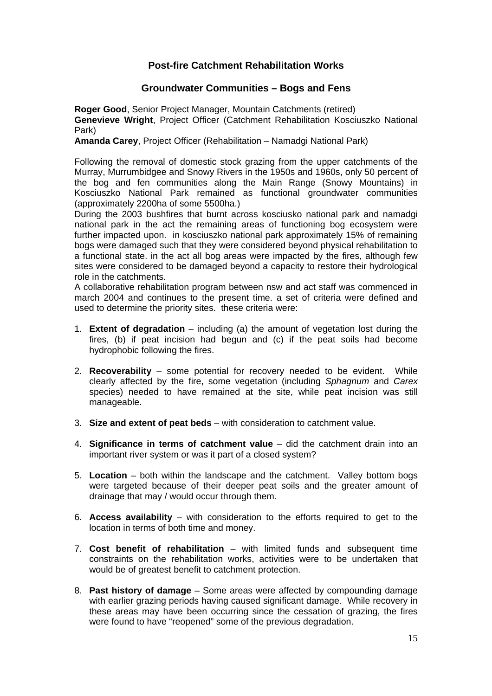## **Post-fire Catchment Rehabilitation Works**

### **Groundwater Communities – Bogs and Fens**

**Roger Good**, Senior Project Manager, Mountain Catchments (retired) **Genevieve Wright**, Project Officer (Catchment Rehabilitation Kosciuszko National Park)

**Amanda Carey**, Project Officer (Rehabilitation – Namadgi National Park)

Following the removal of domestic stock grazing from the upper catchments of the Murray, Murrumbidgee and Snowy Rivers in the 1950s and 1960s, only 50 percent of the bog and fen communities along the Main Range (Snowy Mountains) in Kosciuszko National Park remained as functional groundwater communities (approximately 2200ha of some 5500ha.)

During the 2003 bushfires that burnt across kosciusko national park and namadgi national park in the act the remaining areas of functioning bog ecosystem were further impacted upon. in kosciuszko national park approximately 15% of remaining bogs were damaged such that they were considered beyond physical rehabilitation to a functional state. in the act all bog areas were impacted by the fires, although few sites were considered to be damaged beyond a capacity to restore their hydrological role in the catchments.

A collaborative rehabilitation program between nsw and act staff was commenced in march 2004 and continues to the present time. a set of criteria were defined and used to determine the priority sites. these criteria were:

- 1. **Extent of degradation** including (a) the amount of vegetation lost during the fires, (b) if peat incision had begun and (c) if the peat soils had become hydrophobic following the fires.
- 2. **Recoverability**  some potential for recovery needed to be evident. While clearly affected by the fire, some vegetation (including *Sphagnum* and *Carex*  species) needed to have remained at the site, while peat incision was still manageable.
- 3. **Size and extent of peat beds**with consideration to catchment value.
- 4. **Significance in terms of catchment value**did the catchment drain into an important river system or was it part of a closed system?
- 5. **Location** both within the landscape and the catchment. Valley bottom bogs were targeted because of their deeper peat soils and the greater amount of drainage that may / would occur through them.
- 6. **Access availability**  with consideration to the efforts required to get to the location in terms of both time and money.
- 7. **Cost benefit of rehabilitation** with limited funds and subsequent time constraints on the rehabilitation works, activities were to be undertaken that would be of greatest benefit to catchment protection.
- 8. **Past history of damage**  Some areas were affected by compounding damage with earlier grazing periods having caused significant damage. While recovery in these areas may have been occurring since the cessation of grazing, the fires were found to have "reopened" some of the previous degradation.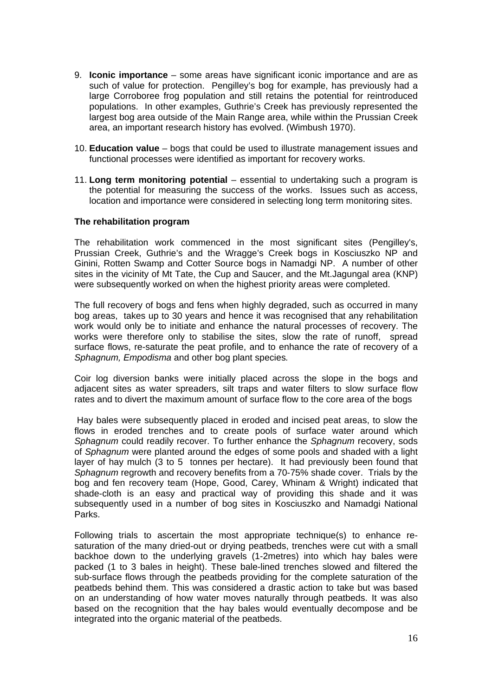- 9. **Iconic importance**some areas have significant iconic importance and are as such of value for protection. Pengilley's bog for example, has previously had a large Corroboree frog population and still retains the potential for reintroduced populations. In other examples, Guthrie's Creek has previously represented the largest bog area outside of the Main Range area, while within the Prussian Creek area, an important research history has evolved. (Wimbush 1970).
- 10. **Education value** bogs that could be used to illustrate management issues and functional processes were identified as important for recovery works.
- 11. **Long term monitoring potential** essential to undertaking such a program is the potential for measuring the success of the works. Issues such as access, location and importance were considered in selecting long term monitoring sites.

#### **The rehabilitation program**

The rehabilitation work commenced in the most significant sites (Pengilley's, Prussian Creek, Guthrie's and the Wragge's Creek bogs in Kosciuszko NP and Ginini, Rotten Swamp and Cotter Source bogs in Namadgi NP. A number of other sites in the vicinity of Mt Tate, the Cup and Saucer, and the Mt.Jagungal area (KNP) were subsequently worked on when the highest priority areas were completed.

The full recovery of bogs and fens when highly degraded, such as occurred in many bog areas, takes up to 30 years and hence it was recognised that any rehabilitation work would only be to initiate and enhance the natural processes of recovery. The works were therefore only to stabilise the sites, slow the rate of runoff, spread surface flows, re-saturate the peat profile, and to enhance the rate of recovery of a *Sphagnum, Empodisma* and other bog plant species*.* 

Coir log diversion banks were initially placed across the slope in the bogs and adjacent sites as water spreaders, silt traps and water filters to slow surface flow rates and to divert the maximum amount of surface flow to the core area of the bogs

 Hay bales were subsequently placed in eroded and incised peat areas, to slow the flows in eroded trenches and to create pools of surface water around which *Sphagnum* could readily recover. To further enhance the *Sphagnum* recovery, sods of *Sphagnum* were planted around the edges of some pools and shaded with a light layer of hay mulch (3 to 5 tonnes per hectare). It had previously been found that *Sphagnum* regrowth and recovery benefits from a 70-75% shade cover. Trials by the bog and fen recovery team (Hope, Good, Carey, Whinam & Wright) indicated that shade-cloth is an easy and practical way of providing this shade and it was subsequently used in a number of bog sites in Kosciuszko and Namadgi National Parks.

Following trials to ascertain the most appropriate technique(s) to enhance resaturation of the many dried-out or drying peatbeds, trenches were cut with a small backhoe down to the underlying gravels (1-2metres) into which hay bales were packed (1 to 3 bales in height). These bale-lined trenches slowed and filtered the sub-surface flows through the peatbeds providing for the complete saturation of the peatbeds behind them. This was considered a drastic action to take but was based on an understanding of how water moves naturally through peatbeds. It was also based on the recognition that the hay bales would eventually decompose and be integrated into the organic material of the peatbeds.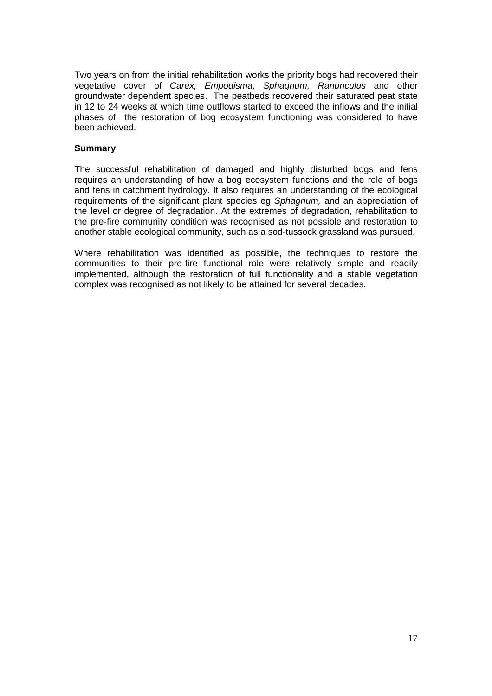Two years on from the initial rehabilitation works the priority bogs had recovered their vegetative cover of *Carex, Empodisma, Sphagnum, Ranunculus* and other groundwater dependent species. The peatbeds recovered their saturated peat state in 12 to 24 weeks at which time outflows started to exceed the inflows and the initial phases of the restoration of bog ecosystem functioning was considered to have been achieved.

#### **Summary**

The successful rehabilitation of damaged and highly disturbed bogs and fens requires an understanding of how a bog ecosystem functions and the role of bogs and fens in catchment hydrology. It also requires an understanding of the ecological requirements of the significant plant species eg *Sphagnum,* and an appreciation of the level or degree of degradation. At the extremes of degradation, rehabilitation to the pre-fire community condition was recognised as not possible and restoration to another stable ecological community, such as a sod-tussock grassland was pursued.

Where rehabilitation was identified as possible, the techniques to restore the communities to their pre-fire functional role were relatively simple and readily implemented, although the restoration of full functionality and a stable vegetation complex was recognised as not likely to be attained for several decades.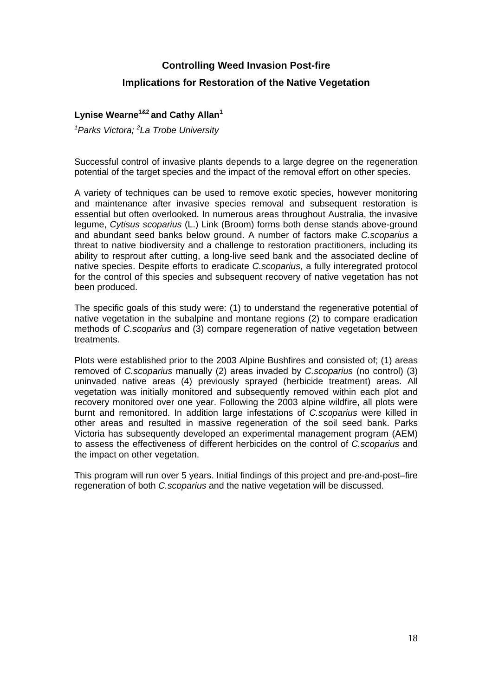## **Controlling Weed Invasion Post-fire**

## **Implications for Restoration of the Native Vegetation**

#### **Lynise Wearne1&2 and Cathy Allan<sup>1</sup>**

*1 Parks Victora; 2 La Trobe University* 

Successful control of invasive plants depends to a large degree on the regeneration potential of the target species and the impact of the removal effort on other species.

A variety of techniques can be used to remove exotic species, however monitoring and maintenance after invasive species removal and subsequent restoration is essential but often overlooked. In numerous areas throughout Australia, the invasive legume, *Cytisus scoparius* (L.) Link (Broom) forms both dense stands above-ground and abundant seed banks below ground. A number of factors make *C.scoparius* a threat to native biodiversity and a challenge to restoration practitioners, including its ability to resprout after cutting, a long-live seed bank and the associated decline of native species. Despite efforts to eradicate *C.scoparius*, a fully interegrated protocol for the control of this species and subsequent recovery of native vegetation has not been produced.

The specific goals of this study were: (1) to understand the regenerative potential of native vegetation in the subalpine and montane regions (2) to compare eradication methods of *C.scoparius* and (3) compare regeneration of native vegetation between treatments.

Plots were established prior to the 2003 Alpine Bushfires and consisted of; (1) areas removed of *C.scoparius* manually (2) areas invaded by *C.scoparius* (no control) (3) uninvaded native areas (4) previously sprayed (herbicide treatment) areas. All vegetation was initially monitored and subsequently removed within each plot and recovery monitored over one year. Following the 2003 alpine wildfire, all plots were burnt and remonitored. In addition large infestations of *C.scoparius* were killed in other areas and resulted in massive regeneration of the soil seed bank. Parks Victoria has subsequently developed an experimental management program (AEM) to assess the effectiveness of different herbicides on the control of *C.scoparius* and the impact on other vegetation.

This program will run over 5 years. Initial findings of this project and pre-and-post–fire regeneration of both *C.scoparius* and the native vegetation will be discussed.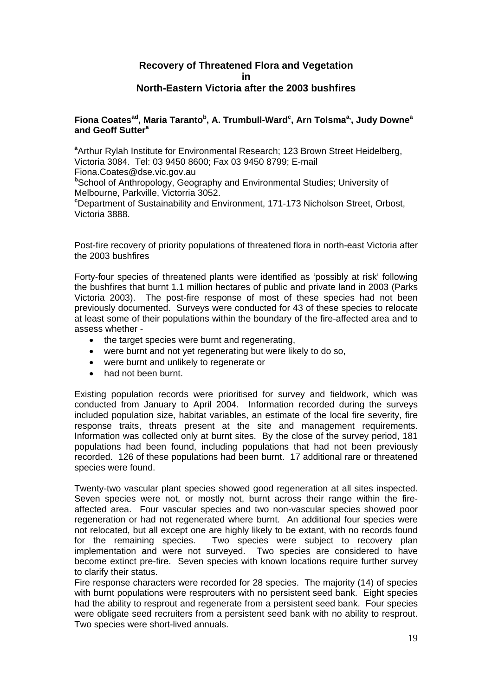#### **Recovery of Threatened Flora and Vegetation in North-Eastern Victoria after the 2003 bushfires**

#### **Fiona Coatesad, Maria Tarantob , A. Trumbull-Ward<sup>c</sup> , Arn Tolsmaa,, Judy Downea and Geoff Suttera**

**a** Arthur Rylah Institute for Environmental Research; 123 Brown Street Heidelberg, Victoria 3084. Tel: 03 9450 8600; Fax 03 9450 8799; E-mail Fiona.Coates@dse.vic.gov.au

**b** School of Anthropology, Geography and Environmental Studies; University of Melbourne, Parkville, Victorria 3052.

**c** Department of Sustainability and Environment, 171-173 Nicholson Street, Orbost, Victoria 3888.

Post-fire recovery of priority populations of threatened flora in north-east Victoria after the 2003 bushfires

Forty-four species of threatened plants were identified as 'possibly at risk' following the bushfires that burnt 1.1 million hectares of public and private land in 2003 (Parks Victoria 2003). The post-fire response of most of these species had not been previously documented. Surveys were conducted for 43 of these species to relocate at least some of their populations within the boundary of the fire-affected area and to assess whether -

- the target species were burnt and regenerating,
- were burnt and not yet regenerating but were likely to do so,
- were burnt and unlikely to regenerate or
- had not been burnt.

Existing population records were prioritised for survey and fieldwork, which was conducted from January to April 2004. Information recorded during the surveys included population size, habitat variables, an estimate of the local fire severity, fire response traits, threats present at the site and management requirements. Information was collected only at burnt sites. By the close of the survey period, 181 populations had been found, including populations that had not been previously recorded. 126 of these populations had been burnt. 17 additional rare or threatened species were found.

Twenty-two vascular plant species showed good regeneration at all sites inspected. Seven species were not, or mostly not, burnt across their range within the fireaffected area. Four vascular species and two non-vascular species showed poor regeneration or had not regenerated where burnt. An additional four species were not relocated, but all except one are highly likely to be extant, with no records found for the remaining species. Two species were subject to recovery plan implementation and were not surveyed. Two species are considered to have become extinct pre-fire. Seven species with known locations require further survey to clarify their status.

Fire response characters were recorded for 28 species. The majority (14) of species with burnt populations were resprouters with no persistent seed bank. Eight species had the ability to resprout and regenerate from a persistent seed bank. Four species were obligate seed recruiters from a persistent seed bank with no ability to resprout. Two species were short-lived annuals.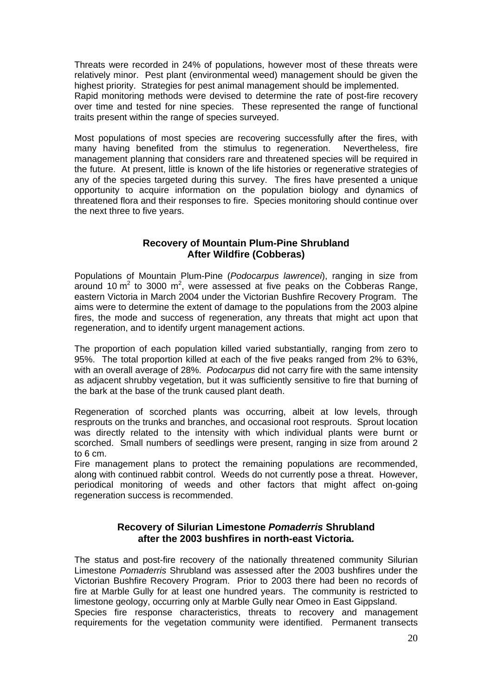Threats were recorded in 24% of populations, however most of these threats were relatively minor. Pest plant (environmental weed) management should be given the highest priority. Strategies for pest animal management should be implemented. Rapid monitoring methods were devised to determine the rate of post-fire recovery over time and tested for nine species. These represented the range of functional traits present within the range of species surveyed.

Most populations of most species are recovering successfully after the fires, with many having benefited from the stimulus to regeneration. Nevertheless, fire management planning that considers rare and threatened species will be required in the future. At present, little is known of the life histories or regenerative strategies of any of the species targeted during this survey. The fires have presented a unique opportunity to acquire information on the population biology and dynamics of threatened flora and their responses to fire. Species monitoring should continue over the next three to five years.

### **Recovery of Mountain Plum-Pine Shrubland After Wildfire (Cobberas)**

Populations of Mountain Plum-Pine (*Podocarpus lawrencei*), ranging in size from around 10 m<sup>2</sup> to 3000 m<sup>2</sup>, were assessed at five peaks on the Cobberas Range, eastern Victoria in March 2004 under the Victorian Bushfire Recovery Program. The aims were to determine the extent of damage to the populations from the 2003 alpine fires, the mode and success of regeneration, any threats that might act upon that regeneration, and to identify urgent management actions.

The proportion of each population killed varied substantially, ranging from zero to 95%. The total proportion killed at each of the five peaks ranged from 2% to 63%, with an overall average of 28%. *Podocarpus* did not carry fire with the same intensity as adjacent shrubby vegetation, but it was sufficiently sensitive to fire that burning of the bark at the base of the trunk caused plant death.

Regeneration of scorched plants was occurring, albeit at low levels, through resprouts on the trunks and branches, and occasional root resprouts. Sprout location was directly related to the intensity with which individual plants were burnt or scorched. Small numbers of seedlings were present, ranging in size from around 2 to 6 cm.

Fire management plans to protect the remaining populations are recommended, along with continued rabbit control. Weeds do not currently pose a threat. However, periodical monitoring of weeds and other factors that might affect on-going regeneration success is recommended.

## **Recovery of Silurian Limestone** *Pomaderris* **Shrubland after the 2003 bushfires in north-east Victoria.**

The status and post-fire recovery of the nationally threatened community Silurian Limestone *Pomaderris* Shrubland was assessed after the 2003 bushfires under the Victorian Bushfire Recovery Program. Prior to 2003 there had been no records of fire at Marble Gully for at least one hundred years. The community is restricted to limestone geology, occurring only at Marble Gully near Omeo in East Gippsland. Species fire response characteristics, threats to recovery and management requirements for the vegetation community were identified. Permanent transects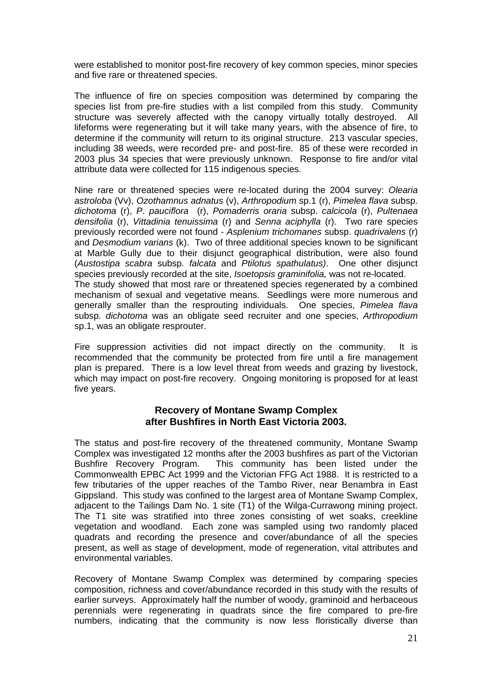were established to monitor post-fire recovery of key common species, minor species and five rare or threatened species.

The influence of fire on species composition was determined by comparing the species list from pre-fire studies with a list compiled from this study. Community structure was severely affected with the canopy virtually totally destroyed. All lifeforms were regenerating but it will take many years, with the absence of fire, to determine if the community will return to its original structure. 213 vascular species, including 38 weeds, were recorded pre- and post-fire. 85 of these were recorded in 2003 plus 34 species that were previously unknown. Response to fire and/or vital attribute data were collected for 115 indigenous species.

Nine rare or threatened species were re-located during the 2004 survey: *Olearia astroloba* (Vv), *Ozothamnus adnatus* (v), *Arthropodium* sp.1 (r), *Pimelea flava* subsp. *dichotoma* (r), *P*. *pauciflora* (r), *Pomaderris oraria* subsp. *calcicola* (r), *Pultenaea densifolia* (r), *Vittadinia tenuissima* (r) and *Senna aciphylla* (r). Two rare species previously recorded were not found - *Asplenium trichomanes* subsp. *quadrivalens* (r) and *Desmodium varians* (k). Two of three additional species known to be significant at Marble Gully due to their disjunct geographical distribution, were also found (*Austostipa scabra* subsp*. falcata* and *Ptilotus spathulatus)*. One other disjunct species previously recorded at the site, *Isoetopsis graminifolia,* was not re-located. The study showed that most rare or threatened species regenerated by a combined mechanism of sexual and vegetative means. Seedlings were more numerous and generally smaller than the resprouting individuals. One species, *Pimelea flava* subsp. *dichotoma* was an obligate seed recruiter and one species, *Arthropodium* sp.1, was an obligate resprouter.

Fire suppression activities did not impact directly on the community. It is recommended that the community be protected from fire until a fire management plan is prepared. There is a low level threat from weeds and grazing by livestock, which may impact on post-fire recovery. Ongoing monitoring is proposed for at least five years.

### **Recovery of Montane Swamp Complex after Bushfires in North East Victoria 2003.**

The status and post-fire recovery of the threatened community, Montane Swamp Complex was investigated 12 months after the 2003 bushfires as part of the Victorian Bushfire Recovery Program. This community has been listed under the Commonwealth EPBC Act 1999 and the Victorian FFG Act 1988. It is restricted to a few tributaries of the upper reaches of the Tambo River, near Benambra in East Gippsland. This study was confined to the largest area of Montane Swamp Complex, adjacent to the Tailings Dam No. 1 site (T1) of the Wilga-Currawong mining project. The T1 site was stratified into three zones consisting of wet soaks, creekline vegetation and woodland. Each zone was sampled using two randomly placed quadrats and recording the presence and cover/abundance of all the species present, as well as stage of development, mode of regeneration, vital attributes and environmental variables.

Recovery of Montane Swamp Complex was determined by comparing species composition, richness and cover/abundance recorded in this study with the results of earlier surveys. Approximately half the number of woody, graminoid and herbaceous perennials were regenerating in quadrats since the fire compared to pre-fire numbers, indicating that the community is now less floristically diverse than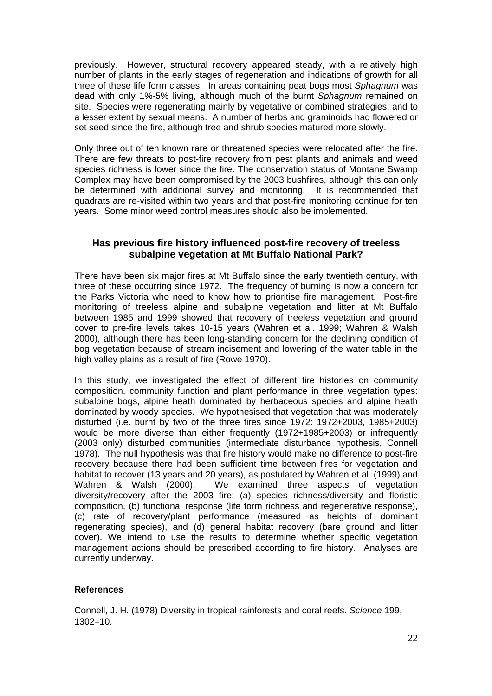previously. However, structural recovery appeared steady, with a relatively high number of plants in the early stages of regeneration and indications of growth for all three of these life form classes. In areas containing peat bogs most *Sphagnum* was dead with only 1%-5% living, although much of the burnt *Sphagnum* remained on site. Species were regenerating mainly by vegetative or combined strategies, and to a lesser extent by sexual means. A number of herbs and graminoids had flowered or set seed since the fire, although tree and shrub species matured more slowly.

Only three out of ten known rare or threatened species were relocated after the fire. There are few threats to post-fire recovery from pest plants and animals and weed species richness is lower since the fire. The conservation status of Montane Swamp Complex may have been compromised by the 2003 bushfires, although this can only be determined with additional survey and monitoring. It is recommended that quadrats are re-visited within two years and that post-fire monitoring continue for ten years. Some minor weed control measures should also be implemented.

### **Has previous fire history influenced post-fire recovery of treeless subalpine vegetation at Mt Buffalo National Park?**

There have been six major fires at Mt Buffalo since the early twentieth century, with three of these occurring since 1972. The frequency of burning is now a concern for the Parks Victoria who need to know how to prioritise fire management. Post-fire monitoring of treeless alpine and subalpine vegetation and litter at Mt Buffalo between 1985 and 1999 showed that recovery of treeless vegetation and ground cover to pre-fire levels takes 10-15 years (Wahren et al. 1999; Wahren & Walsh 2000), although there has been long-standing concern for the declining condition of bog vegetation because of stream incisement and lowering of the water table in the high valley plains as a result of fire (Rowe 1970).

In this study, we investigated the effect of different fire histories on community composition, community function and plant performance in three vegetation types: subalpine bogs, alpine heath dominated by herbaceous species and alpine heath dominated by woody species. We hypothesised that vegetation that was moderately disturbed (i.e. burnt by two of the three fires since 1972: 1972+2003, 1985+2003) would be more diverse than either frequently (1972+1985+2003) or infrequently (2003 only) disturbed communities (intermediate disturbance hypothesis, Connell 1978). The null hypothesis was that fire history would make no difference to post-fire recovery because there had been sufficient time between fires for vegetation and habitat to recover (13 years and 20 years), as postulated by Wahren et al. (1999) and Wahren & Walsh (2000). We examined three aspects of vegetation diversity/recovery after the 2003 fire: (a) species richness/diversity and floristic composition, (b) functional response (life form richness and regenerative response), (c) rate of recovery/plant performance (measured as heights of dominant regenerating species), and (d) general habitat recovery (bare ground and litter cover). We intend to use the results to determine whether specific vegetation management actions should be prescribed according to fire history. Analyses are currently underway.

#### **References**

Connell, J. H. (1978) Diversity in tropical rainforests and coral reefs. *Science* 199, 1302−10.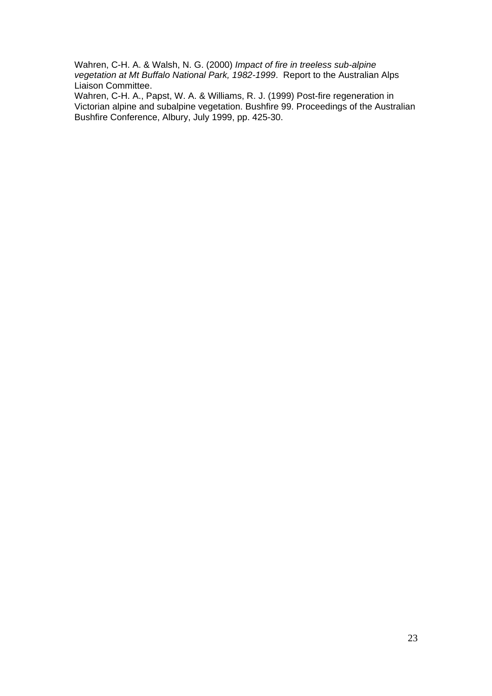Wahren, C-H. A. & Walsh, N. G. (2000) *Impact of fire in treeless sub-alpine vegetation at Mt Buffalo National Park, 1982-1999*. Report to the Australian Alps Liaison Committee.

Wahren, C-H. A., Papst, W. A. & Williams, R. J. (1999) Post-fire regeneration in Victorian alpine and subalpine vegetation. Bushfire 99. Proceedings of the Australian Bushfire Conference, Albury, July 1999, pp. 425-30.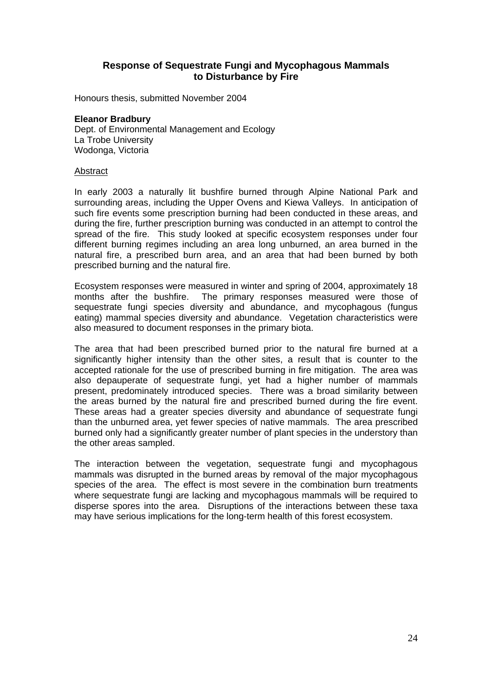#### **Response of Sequestrate Fungi and Mycophagous Mammals to Disturbance by Fire**

Honours thesis, submitted November 2004

#### **Eleanor Bradbury**

Dept. of Environmental Management and Ecology La Trobe University Wodonga, Victoria

#### Abstract

In early 2003 a naturally lit bushfire burned through Alpine National Park and surrounding areas, including the Upper Ovens and Kiewa Valleys. In anticipation of such fire events some prescription burning had been conducted in these areas, and during the fire, further prescription burning was conducted in an attempt to control the spread of the fire. This study looked at specific ecosystem responses under four different burning regimes including an area long unburned, an area burned in the natural fire, a prescribed burn area, and an area that had been burned by both prescribed burning and the natural fire.

Ecosystem responses were measured in winter and spring of 2004, approximately 18 months after the bushfire. The primary responses measured were those of sequestrate fungi species diversity and abundance, and mycophagous (fungus eating) mammal species diversity and abundance. Vegetation characteristics were also measured to document responses in the primary biota.

The area that had been prescribed burned prior to the natural fire burned at a significantly higher intensity than the other sites, a result that is counter to the accepted rationale for the use of prescribed burning in fire mitigation. The area was also depauperate of sequestrate fungi, yet had a higher number of mammals present, predominately introduced species. There was a broad similarity between the areas burned by the natural fire and prescribed burned during the fire event. These areas had a greater species diversity and abundance of sequestrate fungi than the unburned area, yet fewer species of native mammals. The area prescribed burned only had a significantly greater number of plant species in the understory than the other areas sampled.

The interaction between the vegetation, sequestrate fungi and mycophagous mammals was disrupted in the burned areas by removal of the major mycophagous species of the area. The effect is most severe in the combination burn treatments where sequestrate fungi are lacking and mycophagous mammals will be required to disperse spores into the area. Disruptions of the interactions between these taxa may have serious implications for the long-term health of this forest ecosystem.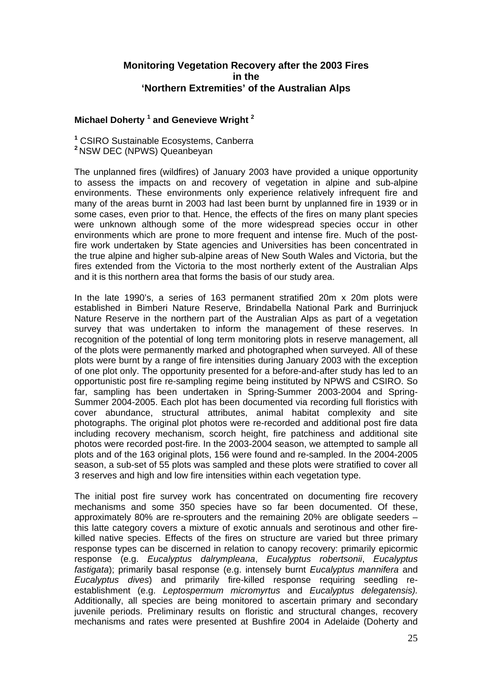#### **Monitoring Vegetation Recovery after the 2003 Fires in the 'Northern Extremities' of the Australian Alps**

#### **Michael Doherty 1 and Genevieve Wright 2**

**1** CSIRO Sustainable Ecosystems, Canberra **<sup>2</sup>** NSW DEC (NPWS) Queanbeyan

The unplanned fires (wildfires) of January 2003 have provided a unique opportunity to assess the impacts on and recovery of vegetation in alpine and sub-alpine environments. These environments only experience relatively infrequent fire and many of the areas burnt in 2003 had last been burnt by unplanned fire in 1939 or in some cases, even prior to that. Hence, the effects of the fires on many plant species were unknown although some of the more widespread species occur in other environments which are prone to more frequent and intense fire. Much of the postfire work undertaken by State agencies and Universities has been concentrated in the true alpine and higher sub-alpine areas of New South Wales and Victoria, but the fires extended from the Victoria to the most northerly extent of the Australian Alps and it is this northern area that forms the basis of our study area.

In the late 1990's, a series of 163 permanent stratified 20m x 20m plots were established in Bimberi Nature Reserve, Brindabella National Park and Burrinjuck Nature Reserve in the northern part of the Australian Alps as part of a vegetation survey that was undertaken to inform the management of these reserves. In recognition of the potential of long term monitoring plots in reserve management, all of the plots were permanently marked and photographed when surveyed. All of these plots were burnt by a range of fire intensities during January 2003 with the exception of one plot only. The opportunity presented for a before-and-after study has led to an opportunistic post fire re-sampling regime being instituted by NPWS and CSIRO. So far, sampling has been undertaken in Spring-Summer 2003-2004 and Spring-Summer 2004-2005. Each plot has been documented via recording full floristics with cover abundance, structural attributes, animal habitat complexity and site photographs. The original plot photos were re-recorded and additional post fire data including recovery mechanism, scorch height, fire patchiness and additional site photos were recorded post-fire. In the 2003-2004 season, we attempted to sample all plots and of the 163 original plots, 156 were found and re-sampled. In the 2004-2005 season, a sub-set of 55 plots was sampled and these plots were stratified to cover all 3 reserves and high and low fire intensities within each vegetation type.

The initial post fire survey work has concentrated on documenting fire recovery mechanisms and some 350 species have so far been documented. Of these, approximately 80% are re-sprouters and the remaining 20% are obligate seeders – this latte category covers a mixture of exotic annuals and serotinous and other firekilled native species. Effects of the fires on structure are varied but three primary response types can be discerned in relation to canopy recovery: primarily epicormic response (e.g. *Eucalyptus dalrympleana*, *Eucalyptus robertsonii*, *Eucalyptus fastigata*); primarily basal response (e.g. intensely burnt *Eucalyptus mannifera* and *Eucalyptus dives*) and primarily fire-killed response requiring seedling reestablishment (e.g. *Leptospermum micromyrtus* and *Eucalyptus delegatensis).* Additionally, all species are being monitored to ascertain primary and secondary juvenile periods. Preliminary results on floristic and structural changes, recovery mechanisms and rates were presented at Bushfire 2004 in Adelaide (Doherty and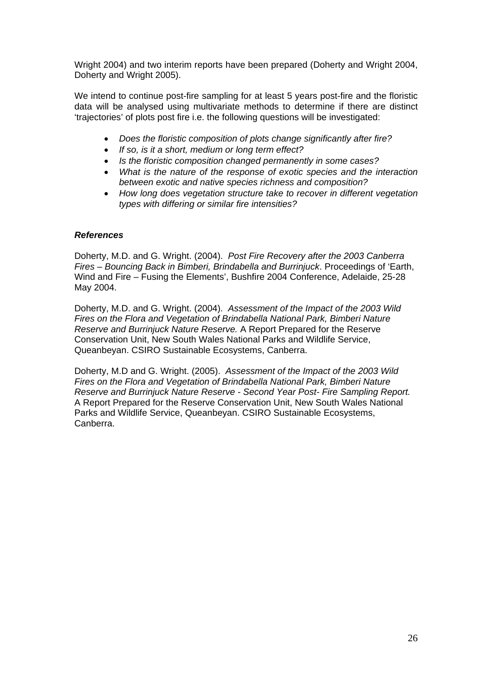Wright 2004) and two interim reports have been prepared (Doherty and Wright 2004, Doherty and Wright 2005).

We intend to continue post-fire sampling for at least 5 years post-fire and the floristic data will be analysed using multivariate methods to determine if there are distinct 'trajectories' of plots post fire i.e. the following questions will be investigated:

- *Does the floristic composition of plots change significantly after fire?*
- *If so, is it a short, medium or long term effect?*
- *Is the floristic composition changed permanently in some cases?*
- *What is the nature of the response of exotic species and the interaction between exotic and native species richness and composition?*
- *How long does vegetation structure take to recover in different vegetation types with differing or similar fire intensities?*

#### *References*

Doherty, M.D. and G. Wright. (2004). *Post Fire Recovery after the 2003 Canberra Fires – Bouncing Back in Bimberi, Brindabella and Burrinjuck*. Proceedings of 'Earth, Wind and Fire – Fusing the Elements', Bushfire 2004 Conference, Adelaide, 25-28 May 2004.

Doherty, M.D. and G. Wright. (2004). *Assessment of the Impact of the 2003 Wild Fires on the Flora and Vegetation of Brindabella National Park, Bimberi Nature Reserve and Burrinjuck Nature Reserve.* A Report Prepared for the Reserve Conservation Unit, New South Wales National Parks and Wildlife Service, Queanbeyan. CSIRO Sustainable Ecosystems, Canberra.

Doherty, M.D and G. Wright. (2005). *Assessment of the Impact of the 2003 Wild Fires on the Flora and Vegetation of Brindabella National Park, Bimberi Nature Reserve and Burrinjuck Nature Reserve - Second Year Post- Fire Sampling Report.*  A Report Prepared for the Reserve Conservation Unit, New South Wales National Parks and Wildlife Service, Queanbeyan. CSIRO Sustainable Ecosystems, Canberra.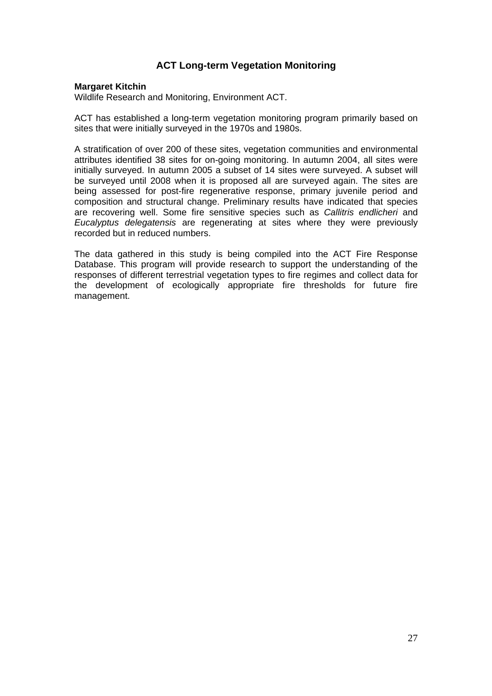## **ACT Long-term Vegetation Monitoring**

#### **Margaret Kitchin**

Wildlife Research and Monitoring, Environment ACT.

ACT has established a long-term vegetation monitoring program primarily based on sites that were initially surveyed in the 1970s and 1980s.

A stratification of over 200 of these sites, vegetation communities and environmental attributes identified 38 sites for on-going monitoring. In autumn 2004, all sites were initially surveyed. In autumn 2005 a subset of 14 sites were surveyed. A subset will be surveyed until 2008 when it is proposed all are surveyed again. The sites are being assessed for post-fire regenerative response, primary juvenile period and composition and structural change. Preliminary results have indicated that species are recovering well. Some fire sensitive species such as *Callitris endlicheri* and *Eucalyptus delegatensis* are regenerating at sites where they were previously recorded but in reduced numbers.

The data gathered in this study is being compiled into the ACT Fire Response Database. This program will provide research to support the understanding of the responses of different terrestrial vegetation types to fire regimes and collect data for the development of ecologically appropriate fire thresholds for future fire management.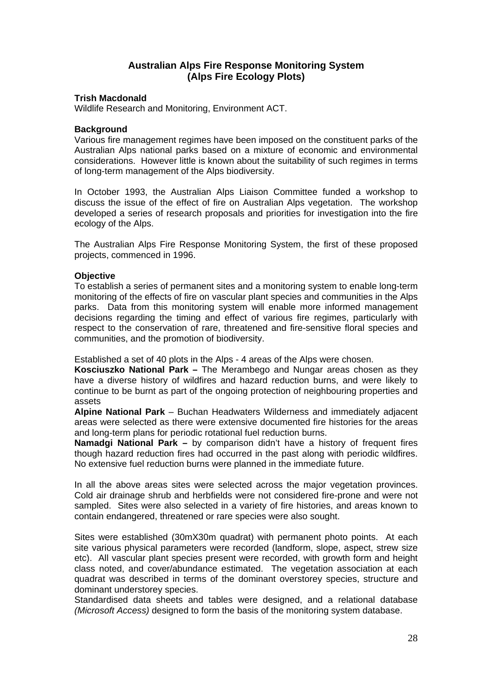## **Australian Alps Fire Response Monitoring System (Alps Fire Ecology Plots)**

#### **Trish Macdonald**

Wildlife Research and Monitoring, Environment ACT.

#### **Background**

Various fire management regimes have been imposed on the constituent parks of the Australian Alps national parks based on a mixture of economic and environmental considerations. However little is known about the suitability of such regimes in terms of long-term management of the Alps biodiversity.

In October 1993, the Australian Alps Liaison Committee funded a workshop to discuss the issue of the effect of fire on Australian Alps vegetation. The workshop developed a series of research proposals and priorities for investigation into the fire ecology of the Alps.

The Australian Alps Fire Response Monitoring System, the first of these proposed projects, commenced in 1996.

#### **Objective**

To establish a series of permanent sites and a monitoring system to enable long-term monitoring of the effects of fire on vascular plant species and communities in the Alps parks. Data from this monitoring system will enable more informed management decisions regarding the timing and effect of various fire regimes, particularly with respect to the conservation of rare, threatened and fire-sensitive floral species and communities, and the promotion of biodiversity.

Established a set of 40 plots in the Alps - 4 areas of the Alps were chosen.

**Kosciuszko National Park –** The Merambego and Nungar areas chosen as they have a diverse history of wildfires and hazard reduction burns, and were likely to continue to be burnt as part of the ongoing protection of neighbouring properties and assets

**Alpine National Park** – Buchan Headwaters Wilderness and immediately adjacent areas were selected as there were extensive documented fire histories for the areas and long-term plans for periodic rotational fuel reduction burns.

**Namadgi National Park –** by comparison didn't have a history of frequent fires though hazard reduction fires had occurred in the past along with periodic wildfires. No extensive fuel reduction burns were planned in the immediate future.

In all the above areas sites were selected across the major vegetation provinces. Cold air drainage shrub and herbfields were not considered fire-prone and were not sampled. Sites were also selected in a variety of fire histories, and areas known to contain endangered, threatened or rare species were also sought.

Sites were established (30mX30m quadrat) with permanent photo points. At each site various physical parameters were recorded (landform, slope, aspect, strew size etc). All vascular plant species present were recorded, with growth form and height class noted, and cover/abundance estimated. The vegetation association at each quadrat was described in terms of the dominant overstorey species, structure and dominant understorey species.

Standardised data sheets and tables were designed, and a relational database *(Microsoft Access)* designed to form the basis of the monitoring system database.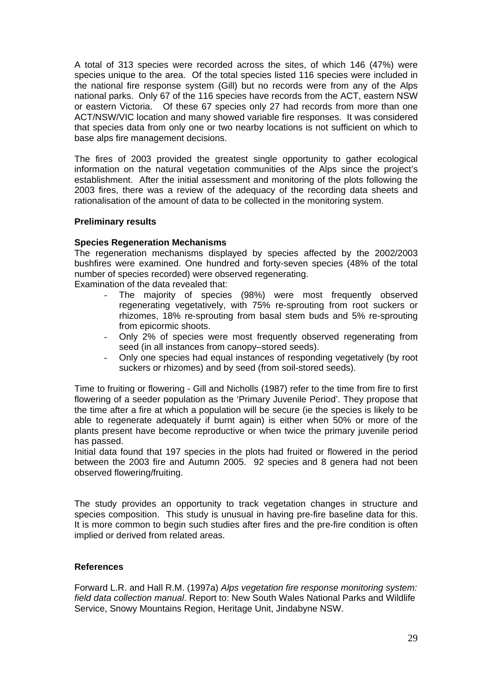A total of 313 species were recorded across the sites, of which 146 (47%) were species unique to the area. Of the total species listed 116 species were included in the national fire response system (Gill) but no records were from any of the Alps national parks. Only 67 of the 116 species have records from the ACT, eastern NSW or eastern Victoria. Of these 67 species only 27 had records from more than one ACT/NSW/VIC location and many showed variable fire responses. It was considered that species data from only one or two nearby locations is not sufficient on which to base alps fire management decisions.

The fires of 2003 provided the greatest single opportunity to gather ecological information on the natural vegetation communities of the Alps since the project's establishment. After the initial assessment and monitoring of the plots following the 2003 fires, there was a review of the adequacy of the recording data sheets and rationalisation of the amount of data to be collected in the monitoring system.

#### **Preliminary results**

#### **Species Regeneration Mechanisms**

The regeneration mechanisms displayed by species affected by the 2002/2003 bushfires were examined. One hundred and forty-seven species (48% of the total number of species recorded) were observed regenerating.

Examination of the data revealed that:

- The majority of species (98%) were most frequently observed regenerating vegetatively, with 75% re-sprouting from root suckers or rhizomes, 18% re-sprouting from basal stem buds and 5% re-sprouting from epicormic shoots.
- Only 2% of species were most frequently observed regenerating from seed (in all instances from canopy–stored seeds).
- Only one species had equal instances of responding vegetatively (by root suckers or rhizomes) and by seed (from soil-stored seeds).

Time to fruiting or flowering - Gill and Nicholls (1987) refer to the time from fire to first flowering of a seeder population as the 'Primary Juvenile Period'. They propose that the time after a fire at which a population will be secure (ie the species is likely to be able to regenerate adequately if burnt again) is either when 50% or more of the plants present have become reproductive or when twice the primary juvenile period has passed.

Initial data found that 197 species in the plots had fruited or flowered in the period between the 2003 fire and Autumn 2005. 92 species and 8 genera had not been observed flowering/fruiting.

The study provides an opportunity to track vegetation changes in structure and species composition. This study is unusual in having pre-fire baseline data for this. It is more common to begin such studies after fires and the pre-fire condition is often implied or derived from related areas.

#### **References**

Forward L.R. and Hall R.M. (1997a) *Alps vegetation fire response monitoring system: field data collection manual*. Report to: New South Wales National Parks and Wildlife Service, Snowy Mountains Region, Heritage Unit, Jindabyne NSW.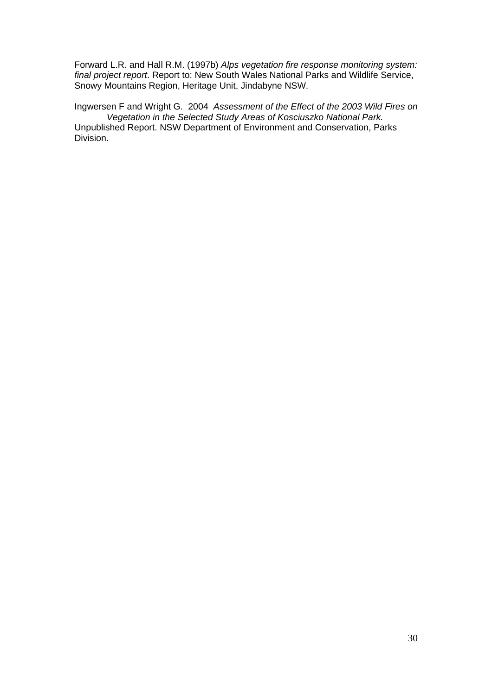Forward L.R. and Hall R.M. (1997b) *Alps vegetation fire response monitoring system: final project report*. Report to: New South Wales National Parks and Wildlife Service, Snowy Mountains Region, Heritage Unit, Jindabyne NSW.

Ingwersen F and Wright G. 2004 *Assessment of the Effect of the 2003 Wild Fires on Vegetation in the Selected Study Areas of Kosciuszko National Park.*  Unpublished Report. NSW Department of Environment and Conservation, Parks Division.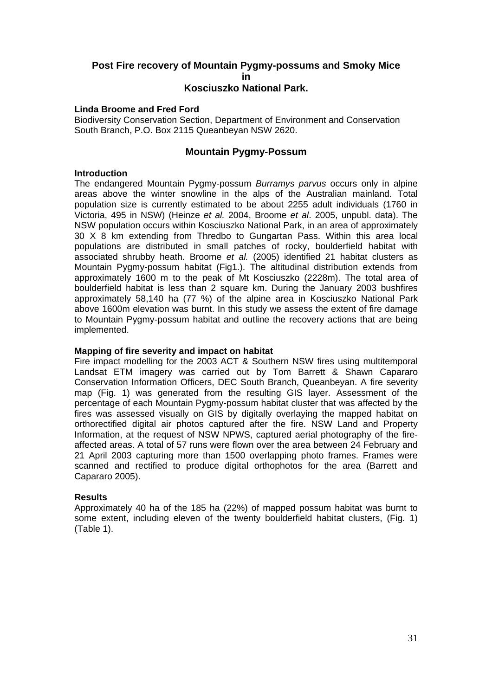#### **Post Fire recovery of Mountain Pygmy-possums and Smoky Mice in Kosciuszko National Park.**

#### **Linda Broome and Fred Ford**

Biodiversity Conservation Section, Department of Environment and Conservation South Branch, P.O. Box 2115 Queanbeyan NSW 2620.

#### **Mountain Pygmy-Possum**

#### **Introduction**

The endangered Mountain Pygmy-possum *Burramys parvus* occurs only in alpine areas above the winter snowline in the alps of the Australian mainland. Total population size is currently estimated to be about 2255 adult individuals (1760 in Victoria, 495 in NSW) (Heinze *et al.* 2004, Broome *et al*. 2005, unpubl. data). The NSW population occurs within Kosciuszko National Park, in an area of approximately 30 X 8 km extending from Thredbo to Gungartan Pass. Within this area local populations are distributed in small patches of rocky, boulderfield habitat with associated shrubby heath. Broome *et al.* (2005) identified 21 habitat clusters as Mountain Pygmy-possum habitat (Fig1.). The altitudinal distribution extends from approximately 1600 m to the peak of Mt Kosciuszko (2228m). The total area of boulderfield habitat is less than 2 square km. During the January 2003 bushfires approximately 58,140 ha (77 %) of the alpine area in Kosciuszko National Park above 1600m elevation was burnt. In this study we assess the extent of fire damage to Mountain Pygmy-possum habitat and outline the recovery actions that are being implemented.

#### **Mapping of fire severity and impact on habitat**

Fire impact modelling for the 2003 ACT & Southern NSW fires using multitemporal Landsat ETM imagery was carried out by Tom Barrett & Shawn Capararo Conservation Information Officers, DEC South Branch, Queanbeyan. A fire severity map (Fig. 1) was generated from the resulting GIS layer. Assessment of the percentage of each Mountain Pygmy-possum habitat cluster that was affected by the fires was assessed visually on GIS by digitally overlaying the mapped habitat on orthorectified digital air photos captured after the fire. NSW Land and Property Information, at the request of NSW NPWS, captured aerial photography of the fireaffected areas. A total of 57 runs were flown over the area between 24 February and 21 April 2003 capturing more than 1500 overlapping photo frames. Frames were scanned and rectified to produce digital orthophotos for the area (Barrett and Capararo 2005).

#### **Results**

Approximately 40 ha of the 185 ha (22%) of mapped possum habitat was burnt to some extent, including eleven of the twenty boulderfield habitat clusters, (Fig. 1) (Table 1).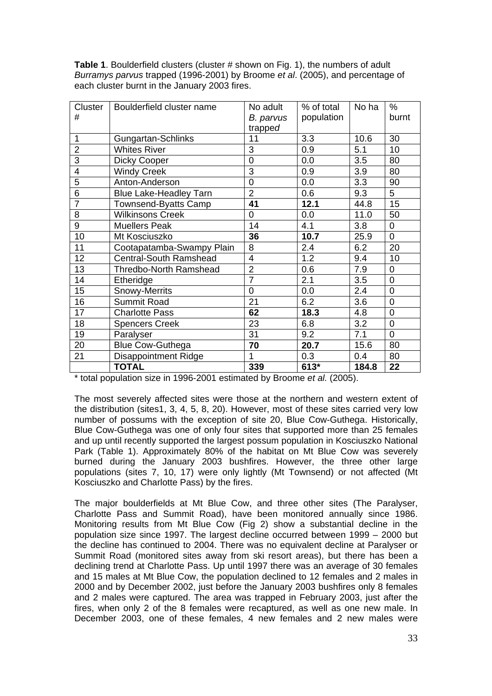**Table 1**. Boulderfield clusters (cluster # shown on Fig. 1), the numbers of adult *Burramys parvus* trapped (1996-2001) by Broome *et al*. (2005), and percentage of each cluster burnt in the January 2003 fires.

| Cluster        | Boulderfield cluster name     | No adult       | % of total | No ha | $\%$           |
|----------------|-------------------------------|----------------|------------|-------|----------------|
| #              |                               | B. parvus      | population |       | burnt          |
|                |                               | trapped        |            |       |                |
| $\mathbf{1}$   | Gungartan-Schlinks            | 11             | 3.3        | 10.6  | 30             |
| $\overline{2}$ | <b>Whites River</b>           | 3              | 0.9        | 5.1   | 10             |
| 3              | Dicky Cooper                  | $\Omega$       | 0.0        | 3.5   | 80             |
| 4              | <b>Windy Creek</b>            | 3              | 0.9        | 3.9   | 80             |
| 5              | Anton-Anderson                | 0              | 0.0        | 3.3   | 90             |
| $\overline{6}$ | <b>Blue Lake-Headley Tarn</b> | $\overline{2}$ | 0.6        | 9.3   | 5              |
| $\overline{7}$ | Townsend-Byatts Camp          | 41             | 12.1       | 44.8  | 15             |
| 8              | <b>Wilkinsons Creek</b>       | $\overline{0}$ | 0.0        | 11.0  | 50             |
| 9              | <b>Muellers Peak</b>          | 14             | 4.1        | 3.8   | $\overline{0}$ |
| 10             | Mt Kosciuszko                 | 36             | 10.7       | 25.9  | $\overline{0}$ |
| 11             | Cootapatamba-Swampy Plain     | 8              | 2.4        | 6.2   | 20             |
| 12             | <b>Central-South Ramshead</b> | 4              | 1.2        | 9.4   | 10             |
| 13             | <b>Thredbo-North Ramshead</b> | $\overline{2}$ | 0.6        | 7.9   | $\overline{0}$ |
| 14             | Etheridge                     | $\overline{7}$ | 2.1        | 3.5   | $\mathbf 0$    |
| 15             | Snowy-Merrits                 | 0              | 0.0        | 2.4   | $\overline{0}$ |
| 16             | Summit Road                   | 21             | 6.2        | 3.6   | $\overline{0}$ |
| 17             | <b>Charlotte Pass</b>         | 62             | 18.3       | 4.8   | $\overline{0}$ |
| 18             | <b>Spencers Creek</b>         | 23             | 6.8        | 3.2   | 0              |
| 19             | Paralyser                     | 31             | 9.2        | 7.1   | 0              |
| 20             | <b>Blue Cow-Guthega</b>       | 70             | 20.7       | 15.6  | 80             |
| 21             | <b>Disappointment Ridge</b>   | 1              | 0.3        | 0.4   | 80             |
|                | <b>TOTAL</b>                  | 339            | $613*$     | 184.8 | 22             |

\* total population size in 1996-2001 estimated by Broome *et al.* (2005).

The most severely affected sites were those at the northern and western extent of the distribution (sites1, 3, 4, 5, 8, 20). However, most of these sites carried very low number of possums with the exception of site 20, Blue Cow-Guthega. Historically, Blue Cow-Guthega was one of only four sites that supported more than 25 females and up until recently supported the largest possum population in Kosciuszko National Park (Table 1). Approximately 80% of the habitat on Mt Blue Cow was severely burned during the January 2003 bushfires. However, the three other large populations (sites 7, 10, 17) were only lightly (Mt Townsend) or not affected (Mt Kosciuszko and Charlotte Pass) by the fires.

The major boulderfields at Mt Blue Cow, and three other sites (The Paralyser, Charlotte Pass and Summit Road), have been monitored annually since 1986. Monitoring results from Mt Blue Cow (Fig 2) show a substantial decline in the population size since 1997. The largest decline occurred between 1999 – 2000 but the decline has continued to 2004. There was no equivalent decline at Paralyser or Summit Road (monitored sites away from ski resort areas), but there has been a declining trend at Charlotte Pass. Up until 1997 there was an average of 30 females and 15 males at Mt Blue Cow, the population declined to 12 females and 2 males in 2000 and by December 2002, just before the January 2003 bushfires only 8 females and 2 males were captured. The area was trapped in February 2003, just after the fires, when only 2 of the 8 females were recaptured, as well as one new male. In December 2003, one of these females, 4 new females and 2 new males were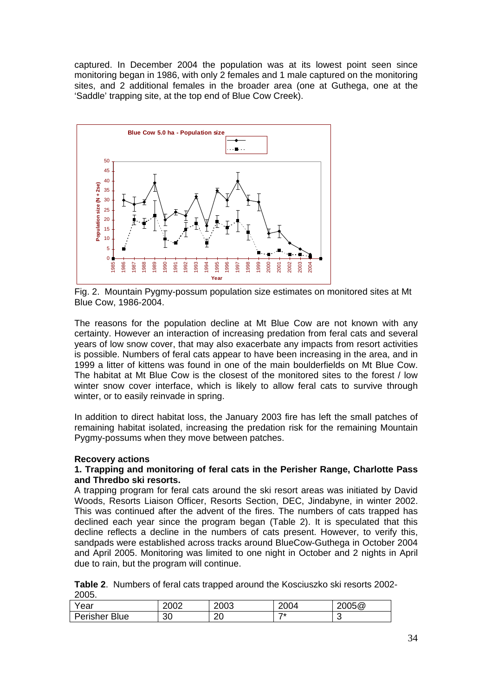captured. In December 2004 the population was at its lowest point seen since monitoring began in 1986, with only 2 females and 1 male captured on the monitoring sites, and 2 additional females in the broader area (one at Guthega, one at the 'Saddle' trapping site, at the top end of Blue Cow Creek).



Fig. 2. Mountain Pygmy-possum population size estimates on monitored sites at Mt Blue Cow, 1986-2004.

The reasons for the population decline at Mt Blue Cow are not known with any certainty. However an interaction of increasing predation from feral cats and several years of low snow cover, that may also exacerbate any impacts from resort activities is possible. Numbers of feral cats appear to have been increasing in the area, and in 1999 a litter of kittens was found in one of the main boulderfields on Mt Blue Cow. The habitat at Mt Blue Cow is the closest of the monitored sites to the forest / low winter snow cover interface, which is likely to allow feral cats to survive through winter, or to easily reinvade in spring.

In addition to direct habitat loss, the January 2003 fire has left the small patches of remaining habitat isolated, increasing the predation risk for the remaining Mountain Pygmy-possums when they move between patches.

#### **ecovery actions R**

#### 1. Trapping and monitoring of feral cats in the Perisher Range, Charlotte Pass **and Thredbo ski resorts.**

A trapping program for feral cats around the ski resort areas was initiated by David Woods, Resorts Liaison Officer, Resorts Section, DEC, Jindabyne, in winter 2002. This was continued after the advent of the fires. The numbers of cats trapped has declined each year since the program began (Table 2). It is speculated that this decline reflects a decline in the numbers of cats present. However, to verify this, sandpads were established across tracks around BlueCow-Guthega in October 2004 and April 2005. Monitoring was limited to one night in October and 2 nights in April due to rain, but the program will continue.

**able 2**. Numbers of feral cats trapped around the Kosciuszko ski resorts 2002- **T** 2005.

| Year          | 2002 | 2003 | 2004 | 2005@ |
|---------------|------|------|------|-------|
| Perisher Blue | 30   | 20   | ⇁∗   | w     |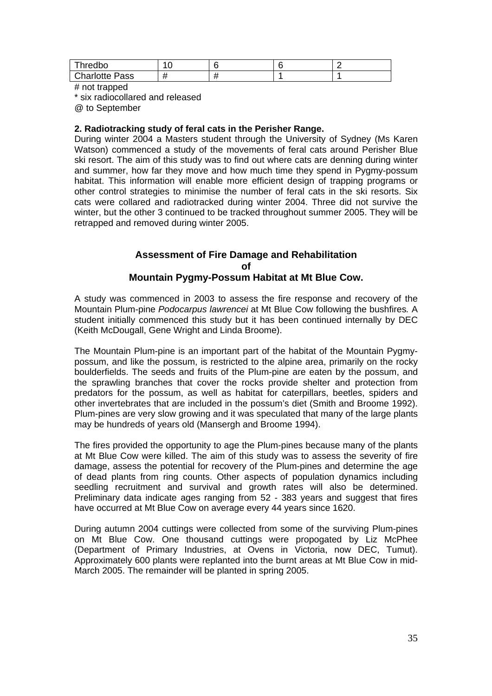| Thredbo               | r  |  |  |
|-----------------------|----|--|--|
| <b>Charlotte Pass</b> | ,, |  |  |

# not trapped

\* six radiocollared and released

@ to September

#### **. Radiotracking study of feral cats in the Perisher Range. 2**

During winter 2004 a Masters student through the University of Sydney (Ms Karen Watson) commenced a study of the movements of feral cats around Perisher Blue ski resort. The aim of this study was to find out where cats are denning during winter and summer, how far they move and how much time they spend in Pygmy-possum habitat. This information will enable more efficient design of trapping programs or other control strategies to minimise the number of feral cats in the ski resorts. Six cats were collared and radiotracked during winter 2004. Three did not survive the winter, but the other 3 continued to be tracked throughout summer 2005. They will be retrapped and removed during winter 2005.

#### **Assessment of Fire Damage and Rehabilitation Mountain Pygmy-Possum Habitat at Mt Blue Cow. of**

A study was commenced in 2003 to assess the fire response and recovery of the Mountain Plum-pine *Podocarpus lawrencei* at Mt Blue Cow following the bushfires*.* A student initially commenced this study but it has been continued internally by DEC (Keith McDougall, Gene Wright and Linda Broome).

The Mountain Plum-pine is an important part of the habitat of the Mountain Pygmypossum, and like the possum, is restricted to the alpine area, primarily on the rocky boulderfields. The seeds and fruits of the Plum-pine are eaten by the possum, and the sprawling branches that cover the rocks provide shelter and protection from predators for the possum, as well as habitat for caterpillars, beetles, spiders and other invertebrates that are included in the possum's diet (Smith and Broome 1992). Plum-pines are very slow growing and it was speculated that many of the large plants may be hundreds of years old (Mansergh and Broome 1994).

The fires provided the opportunity to age the Plum-pines because many of the plants at Mt Blue Cow were killed. The aim of this study was to assess the severity of fire damage, assess the potential for recovery of the Plum-pines and determine the age of dead plants from ring counts. Other aspects of population dynamics including seedling recruitment and survival and growth rates will also be determined. Preliminary data indicate ages ranging from 52 - 383 years and suggest that fires have occurred at Mt Blue Cow on average every 44 years since 1620.

During autumn 2004 cuttings were collected from some of the surviving Plum-pines on Mt Blue Cow. One thousand cuttings were propogated by Liz McPhee (Department of Primary Industries, at Ovens in Victoria, now DEC, Tumut). Approximately 600 plants were replanted into the burnt areas at Mt Blue Cow in mid-March 2005. The remainder will be planted in spring 2005.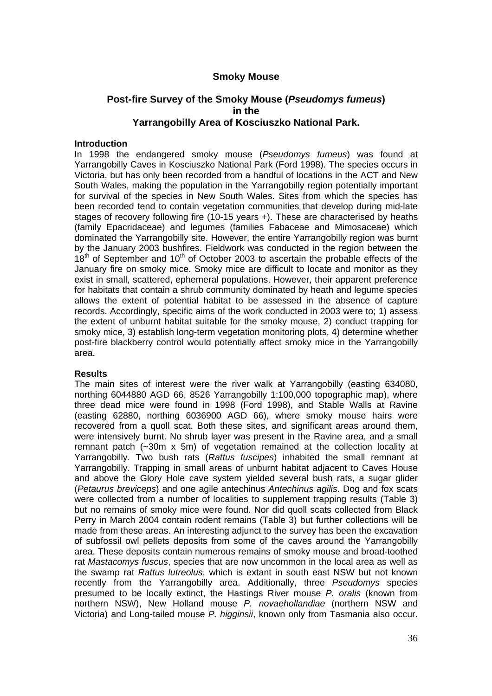#### **Smoky Mouse**

## **Post-fire Survey of the Smoky Mouse (***Pseudomys fumeus***) in the Yarrangobilly Area of Kosciuszko National Park.**

#### **Introduction**

In 1998 the endangered smoky mouse (*Pseudomys fumeus*) was found at Yarrangobilly Caves in Kosciuszko National Park (Ford 1998). The species occurs in Victoria, but has only been recorded from a handful of locations in the ACT and New South Wales, making the population in the Yarrangobilly region potentially important for survival of the species in New South Wales. Sites from which the species has been recorded tend to contain vegetation communities that develop during mid-late stages of recovery following fire (10-15 years +). These are characterised by heaths (family Epacridaceae) and legumes (families Fabaceae and Mimosaceae) which dominated the Yarrangobilly site. However, the entire Yarrangobilly region was burnt by the January 2003 bushfires. Fieldwork was conducted in the region between the  $18<sup>th</sup>$  of September and  $10<sup>th</sup>$  of October 2003 to ascertain the probable effects of the January fire on smoky mice. Smoky mice are difficult to locate and monitor as they exist in small, scattered, ephemeral populations. However, their apparent preference for habitats that contain a shrub community dominated by heath and legume species allows the extent of potential habitat to be assessed in the absence of capture records. Accordingly, specific aims of the work conducted in 2003 were to; 1) assess the extent of unburnt habitat suitable for the smoky mouse, 2) conduct trapping for smoky mice, 3) establish long-term vegetation monitoring plots, 4) determine whether post-fire blackberry control would potentially affect smoky mice in the Yarrangobilly area.

#### **Results**

The main sites of interest were the river walk at Yarrangobilly (easting 634080, northing 6044880 AGD 66, 8526 Yarrangobilly 1:100,000 topographic map), where three dead mice were found in 1998 (Ford 1998), and Stable Walls at Ravine (easting 62880, northing 6036900 AGD 66), where smoky mouse hairs were recovered from a quoll scat. Both these sites, and significant areas around them, were intensively burnt. No shrub layer was present in the Ravine area, and a small remnant patch (~30m x 5m) of vegetation remained at the collection locality at Yarrangobilly. Two bush rats (*Rattus fuscipes*) inhabited the small remnant at Yarrangobilly. Trapping in small areas of unburnt habitat adjacent to Caves House and above the Glory Hole cave system yielded several bush rats, a sugar glider (*Petaurus breviceps*) and one agile antechinus *Antechinus agilis*. Dog and fox scats were collected from a number of localities to supplement trapping results (Table 3) but no remains of smoky mice were found. Nor did quoll scats collected from Black Perry in March 2004 contain rodent remains (Table 3) but further collections will be made from these areas. An interesting adjunct to the survey has been the excavation of subfossil owl pellets deposits from some of the caves around the Yarrangobilly area. These deposits contain numerous remains of smoky mouse and broad-toothed rat *Mastacomys fuscus*, species that are now uncommon in the local area as well as the swamp rat *Rattus lutreolus*, which is extant in south east NSW but not known recently from the Yarrangobilly area. Additionally, three *Pseudomys* species presumed to be locally extinct, the Hastings River mouse *P. oralis* (known from northern NSW), New Holland mouse *P. novaehollandiae* (northern NSW and Victoria) and Long-tailed mouse *P. higginsii*, known only from Tasmania also occur.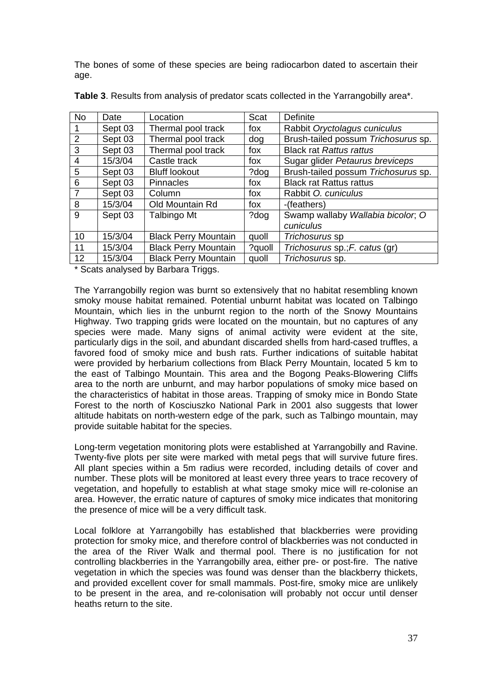The bones of some of these species are being radiocarbon dated to ascertain their age.

| <b>No</b>      | Date    | Location                    | Scat   | Definite                            |
|----------------|---------|-----------------------------|--------|-------------------------------------|
| 1              | Sept 03 | Thermal pool track          | fox    | Rabbit Oryctolagus cuniculus        |
| $\overline{2}$ | Sept 03 | Thermal pool track          | dog    | Brush-tailed possum Trichosurus sp. |
| 3              | Sept 03 | Thermal pool track          | fox    | <b>Black rat Rattus rattus</b>      |
| 4              | 15/3/04 | Castle track                | fox    | Sugar glider Petaurus breviceps     |
| 5              | Sept 03 | <b>Bluff lookout</b>        | ?dog   | Brush-tailed possum Trichosurus sp. |
| 6              | Sept 03 | <b>Pinnacles</b>            | fox    | <b>Black rat Rattus rattus</b>      |
| $\overline{7}$ | Sept 03 | Column                      | fox    | Rabbit O. cuniculus                 |
| 8              | 15/3/04 | Old Mountain Rd             | fox    | -(feathers)                         |
| 9              | Sept 03 | Talbingo Mt                 | ?dog   | Swamp wallaby Wallabia bicolor, O   |
|                |         |                             |        | cuniculus                           |
| 10             | 15/3/04 | <b>Black Perry Mountain</b> | quoll  | Trichosurus sp                      |
| 11             | 15/3/04 | <b>Black Perry Mountain</b> | ?quoll | Trichosurus sp.; F. catus (gr)      |
| 12             | 15/3/04 | <b>Black Perry Mountain</b> | quoll  | Trichosurus sp.                     |

**Table 3**. Results from analysis of predator scats collected in the Yarrangobilly area\*.

\* Scats analysed by Barbara Triggs.

The Yarrangobilly region was burnt so extensively that no habitat resembling known smoky mouse habitat remained. Potential unburnt habitat was located on Talbingo Mountain, which lies in the unburnt region to the north of the Snowy Mountains Highway. Two trapping grids were located on the mountain, but no captures of any species were made. Many signs of animal activity were evident at the site, particularly digs in the soil, and abundant discarded shells from hard-cased truffles, a favored food of smoky mice and bush rats. Further indications of suitable habitat were provided by herbarium collections from Black Perry Mountain, located 5 km to the east of Talbingo Mountain. This area and the Bogong Peaks-Blowering Cliffs area to the north are unburnt, and may harbor populations of smoky mice based on the characteristics of habitat in those areas. Trapping of smoky mice in Bondo State Forest to the north of Kosciuszko National Park in 2001 also suggests that lower altitude habitats on north-western edge of the park, such as Talbingo mountain, may provide suitable habitat for the species.

Long-term vegetation monitoring plots were established at Yarrangobilly and Ravine. Twenty-five plots per site were marked with metal pegs that will survive future fires. All plant species within a 5m radius were recorded, including details of cover and number. These plots will be monitored at least every three years to trace recovery of vegetation, and hopefully to establish at what stage smoky mice will re-colonise an area. However, the erratic nature of captures of smoky mice indicates that monitoring the presence of mice will be a very difficult task.

Local folklore at Yarrangobilly has established that blackberries were providing protection for smoky mice, and therefore control of blackberries was not conducted in the area of the River Walk and thermal pool. There is no justification for not controlling blackberries in the Yarrangobilly area, either pre- or post-fire. The native vegetation in which the species was found was denser than the blackberry thickets, and provided excellent cover for small mammals. Post-fire, smoky mice are unlikely to be present in the area, and re-colonisation will probably not occur until denser heaths return to the site.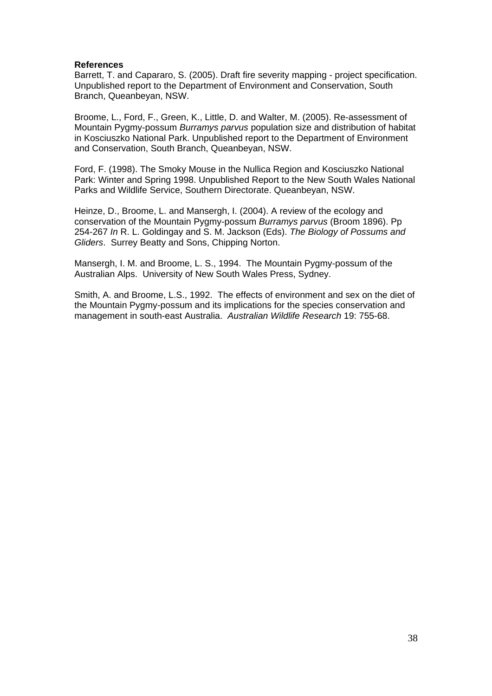#### **References**

Barrett, T. and Capararo, S. (2005). Draft fire severity mapping - project specification. Unpublished report to the Department of Environment and Conservation, South Branch, Queanbeyan, NSW.

Broome, L., Ford, F., Green, K., Little, D. and Walter, M. (2005). Re-assessment of Mountain Pygmy-possum *Burramys parvus* population size and distribution of habitat in Kosciuszko National Park. Unpublished report to the Department of Environment and Conservation, South Branch, Queanbeyan, NSW.

Ford, F. (1998). The Smoky Mouse in the Nullica Region and Kosciuszko National Park: Winter and Spring 1998. Unpublished Report to the New South Wales National Parks and Wildlife Service, Southern Directorate. Queanbeyan, NSW.

Heinze, D., Broome, L. and Mansergh, I. (2004). A review of the ecology and conservation of the Mountain Pygmy-possum *Burramys parvus* (Broom 1896). Pp 254-267 *In* R. L. Goldingay and S. M. Jackson (Eds). *The Biology of Possums and Gliders*. Surrey Beatty and Sons, Chipping Norton.

Mansergh, I. M. and Broome, L. S., 1994. The Mountain Pygmy-possum of the Australian Alps. University of New South Wales Press, Sydney.

Smith, A. and Broome, L.S., 1992. The effects of environment and sex on the diet of the Mountain Pygmy-possum and its implications for the species conservation and management in south-east Australia. *Australian Wildlife Research* 19: 755-68.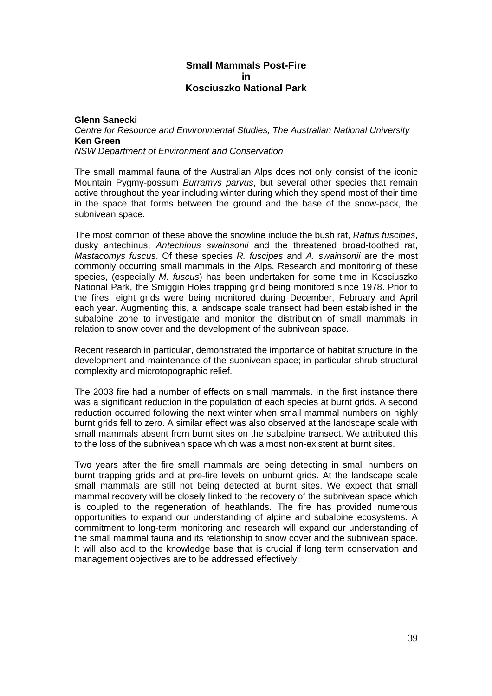## **Small Mammals Post-Fire in Kosciuszko National Park**

#### **Glenn Sanecki**  *Centre for Resource and Environmental Studies, The Australian National University*  **Ken Green**  *NSW Department of Environment and Conservation*

The small mammal fauna of the Australian Alps does not only consist of the iconic Mountain Pygmy-possum *Burramys parvus*, but several other species that remain active throughout the year including winter during which they spend most of their time in the space that forms between the ground and the base of the snow-pack, the subnivean space.

The most common of these above the snowline include the bush rat, *Rattus fuscipes*, dusky antechinus, *Antechinus swainsonii* and the threatened broad-toothed rat, *Mastacomys fuscus*. Of these species *R. fuscipes* and *A. swainsonii* are the most commonly occurring small mammals in the Alps. Research and monitoring of these species, (especially *M. fuscus*) has been undertaken for some time in Kosciuszko National Park, the Smiggin Holes trapping grid being monitored since 1978. Prior to the fires, eight grids were being monitored during December, February and April each year. Augmenting this, a landscape scale transect had been established in the subalpine zone to investigate and monitor the distribution of small mammals in relation to snow cover and the development of the subnivean space.

Recent research in particular, demonstrated the importance of habitat structure in the development and maintenance of the subnivean space; in particular shrub structural complexity and microtopographic relief.

The 2003 fire had a number of effects on small mammals. In the first instance there was a significant reduction in the population of each species at burnt grids. A second reduction occurred following the next winter when small mammal numbers on highly burnt grids fell to zero. A similar effect was also observed at the landscape scale with small mammals absent from burnt sites on the subalpine transect. We attributed this to the loss of the subnivean space which was almost non-existent at burnt sites.

Two years after the fire small mammals are being detecting in small numbers on burnt trapping grids and at pre-fire levels on unburnt grids. At the landscape scale small mammals are still not being detected at burnt sites. We expect that small mammal recovery will be closely linked to the recovery of the subnivean space which is coupled to the regeneration of heathlands. The fire has provided numerous opportunities to expand our understanding of alpine and subalpine ecosystems. A commitment to long-term monitoring and research will expand our understanding of the small mammal fauna and its relationship to snow cover and the subnivean space. It will also add to the knowledge base that is crucial if long term conservation and management objectives are to be addressed effectively.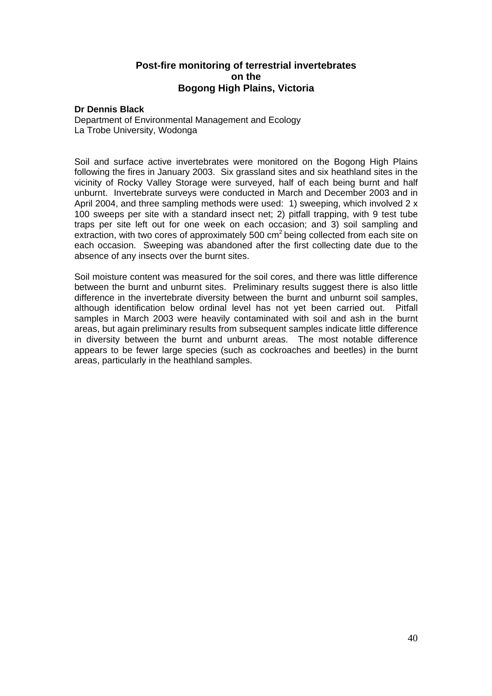### **Post-fire monitoring of terrestrial invertebrates on the Bogong High Plains, Victoria**

#### **Dr Dennis Black**

Department of Environmental Management and Ecology La Trobe University, Wodonga

Soil and surface active invertebrates were monitored on the Bogong High Plains following the fires in January 2003. Six grassland sites and six heathland sites in the vicinity of Rocky Valley Storage were surveyed, half of each being burnt and half unburnt. Invertebrate surveys were conducted in March and December 2003 and in April 2004, and three sampling methods were used: 1) sweeping, which involved 2 x 100 sweeps per site with a standard insect net; 2) pitfall trapping, with 9 test tube traps per site left out for one week on each occasion; and 3) soil sampling and extraction, with two cores of approximately 500  $\text{cm}^2$  being collected from each site on each occasion. Sweeping was abandoned after the first collecting date due to the absence of any insects over the burnt sites.

Soil moisture content was measured for the soil cores, and there was little difference between the burnt and unburnt sites. Preliminary results suggest there is also little difference in the invertebrate diversity between the burnt and unburnt soil samples, although identification below ordinal level has not yet been carried out. Pitfall samples in March 2003 were heavily contaminated with soil and ash in the burnt areas, but again preliminary results from subsequent samples indicate little difference in diversity between the burnt and unburnt areas. The most notable difference appears to be fewer large species (such as cockroaches and beetles) in the burnt areas, particularly in the heathland samples.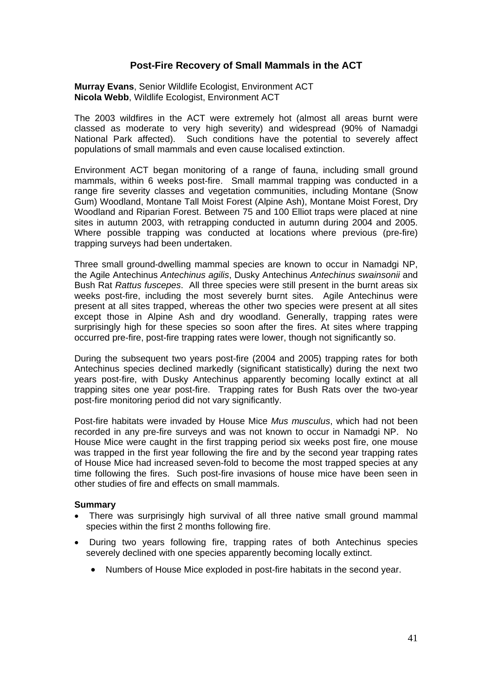## **Post-Fire Recovery of Small Mammals in the ACT**

**Murray Evans**, Senior Wildlife Ecologist, Environment ACT **Nicola Webb**, Wildlife Ecologist, Environment ACT

The 2003 wildfires in the ACT were extremely hot (almost all areas burnt were classed as moderate to very high severity) and widespread (90% of Namadgi National Park affected). Such conditions have the potential to severely affect populations of small mammals and even cause localised extinction.

Environment ACT began monitoring of a range of fauna, including small ground mammals, within 6 weeks post-fire. Small mammal trapping was conducted in a range fire severity classes and vegetation communities, including Montane (Snow Gum) Woodland, Montane Tall Moist Forest (Alpine Ash), Montane Moist Forest, Dry Woodland and Riparian Forest. Between 75 and 100 Elliot traps were placed at nine sites in autumn 2003, with retrapping conducted in autumn during 2004 and 2005. Where possible trapping was conducted at locations where previous (pre-fire) trapping surveys had been undertaken.

Three small ground-dwelling mammal species are known to occur in Namadgi NP, the Agile Antechinus *Antechinus agilis*, Dusky Antechinus *Antechinus swainsonii* and Bush Rat *Rattus fuscepes*. All three species were still present in the burnt areas six weeks post-fire, including the most severely burnt sites. Agile Antechinus were present at all sites trapped, whereas the other two species were present at all sites except those in Alpine Ash and dry woodland. Generally, trapping rates were surprisingly high for these species so soon after the fires. At sites where trapping occurred pre-fire, post-fire trapping rates were lower, though not significantly so.

During the subsequent two years post-fire (2004 and 2005) trapping rates for both Antechinus species declined markedly (significant statistically) during the next two years post-fire, with Dusky Antechinus apparently becoming locally extinct at all trapping sites one year post-fire. Trapping rates for Bush Rats over the two-year post-fire monitoring period did not vary significantly.

Post-fire habitats were invaded by House Mice *Mus musculus*, which had not been recorded in any pre-fire surveys and was not known to occur in Namadgi NP. No House Mice were caught in the first trapping period six weeks post fire, one mouse was trapped in the first year following the fire and by the second year trapping rates of House Mice had increased seven-fold to become the most trapped species at any time following the fires. Such post-fire invasions of house mice have been seen in other studies of fire and effects on small mammals.

#### **Summary**

- There was surprisingly high survival of all three native small ground mammal species within the first 2 months following fire.
- During two years following fire, trapping rates of both Antechinus species severely declined with one species apparently becoming locally extinct.
	- Numbers of House Mice exploded in post-fire habitats in the second year.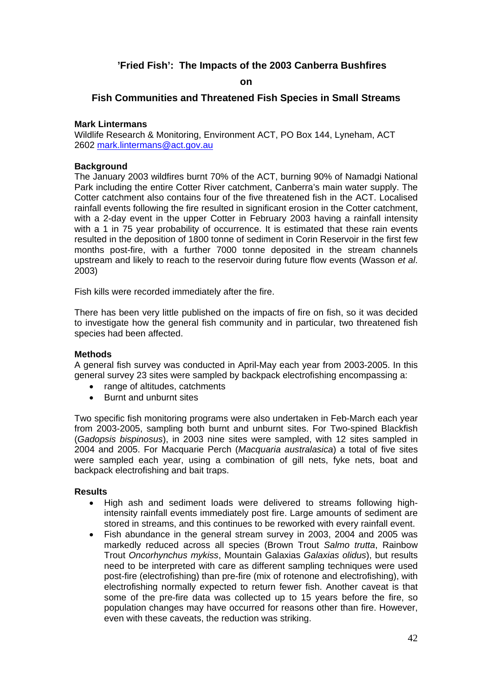## **'Fried Fish': The Impacts of the 2003 Canberra Bushfires**

#### **on**

#### **Fish Communities and Threatened Fish Species in Small Streams**

#### **Mark Lintermans**

Wildlife Research & Monitoring, Environment ACT, PO Box 144, Lyneham, ACT 2602 [mark.lintermans@act.gov.au](mailto:mark.lintermans@act.gov.au)

#### **Background**

The January 2003 wildfires burnt 70% of the ACT, burning 90% of Namadgi National Park including the entire Cotter River catchment, Canberra's main water supply. The Cotter catchment also contains four of the five threatened fish in the ACT. Localised rainfall events following the fire resulted in significant erosion in the Cotter catchment, with a 2-day event in the upper Cotter in February 2003 having a rainfall intensity with a 1 in 75 year probability of occurrence. It is estimated that these rain events resulted in the deposition of 1800 tonne of sediment in Corin Reservoir in the first few months post-fire, with a further 7000 tonne deposited in the stream channels upstream and likely to reach to the reservoir during future flow events (Wasson *et al*. 2003)

Fish kills were recorded immediately after the fire.

There has been very little published on the impacts of fire on fish, so it was decided to investigate how the general fish community and in particular, two threatened fish species had been affected.

#### **Methods**

A general fish survey was conducted in April-May each year from 2003-2005. In this general survey 23 sites were sampled by backpack electrofishing encompassing a:

- range of altitudes, catchments
- Burnt and unburnt sites

Two specific fish monitoring programs were also undertaken in Feb-March each year from 2003-2005, sampling both burnt and unburnt sites. For Two-spined Blackfish (*Gadopsis bispinosus*), in 2003 nine sites were sampled, with 12 sites sampled in 2004 and 2005. For Macquarie Perch (*Macquaria australasica*) a total of five sites were sampled each year, using a combination of gill nets, fyke nets, boat and backpack electrofishing and bait traps.

#### **Results**

- High ash and sediment loads were delivered to streams following highintensity rainfall events immediately post fire. Large amounts of sediment are stored in streams, and this continues to be reworked with every rainfall event.
- Fish abundance in the general stream survey in 2003, 2004 and 2005 was markedly reduced across all species (Brown Trout *Salmo trutta*, Rainbow Trout *Oncorhynchus mykiss*, Mountain Galaxias *Galaxias olidus*), but results need to be interpreted with care as different sampling techniques were used post-fire (electrofishing) than pre-fire (mix of rotenone and electrofishing), with electrofishing normally expected to return fewer fish. Another caveat is that some of the pre-fire data was collected up to 15 years before the fire, so population changes may have occurred for reasons other than fire. However, even with these caveats, the reduction was striking.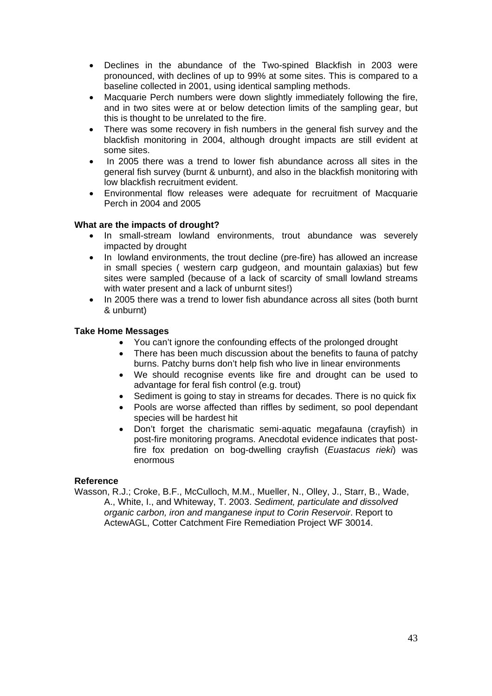- Declines in the abundance of the Two-spined Blackfish in 2003 were pronounced, with declines of up to 99% at some sites. This is compared to a baseline collected in 2001, using identical sampling methods.
- Macquarie Perch numbers were down slightly immediately following the fire. and in two sites were at or below detection limits of the sampling gear, but this is thought to be unrelated to the fire.
- There was some recovery in fish numbers in the general fish survey and the blackfish monitoring in 2004, although drought impacts are still evident at some sites.
- In 2005 there was a trend to lower fish abundance across all sites in the general fish survey (burnt & unburnt), and also in the blackfish monitoring with low blackfish recruitment evident.
- Environmental flow releases were adequate for recruitment of Macquarie Perch in 2004 and 2005

### **What are the impacts of drought?**

- In small-stream lowland environments, trout abundance was severely impacted by drought
- In lowland environments, the trout decline (pre-fire) has allowed an increase in small species ( western carp gudgeon, and mountain galaxias) but few sites were sampled (because of a lack of scarcity of small lowland streams with water present and a lack of unburnt sites!)
- In 2005 there was a trend to lower fish abundance across all sites (both burnt & unburnt)

#### **Take Home Messages**

- You can't ignore the confounding effects of the prolonged drought
- There has been much discussion about the benefits to fauna of patchy burns. Patchy burns don't help fish who live in linear environments
- We should recognise events like fire and drought can be used to advantage for feral fish control (e.g. trout)
- Sediment is going to stay in streams for decades. There is no quick fix
- Pools are worse affected than riffles by sediment, so pool dependant species will be hardest hit
- Don't forget the charismatic semi-aquatic megafauna (crayfish) in post-fire monitoring programs. Anecdotal evidence indicates that postfire fox predation on bog-dwelling crayfish (*Euastacus rieki*) was enormous

#### **Reference**

Wasson, R.J.; Croke, B.F., McCulloch, M.M., Mueller, N., Olley, J., Starr, B., Wade, A., White, I., and Whiteway, T. 2003. *Sediment, particulate and dissolved organic carbon, iron and manganese input to Corin Reservoir*. Report to ActewAGL, Cotter Catchment Fire Remediation Project WF 30014.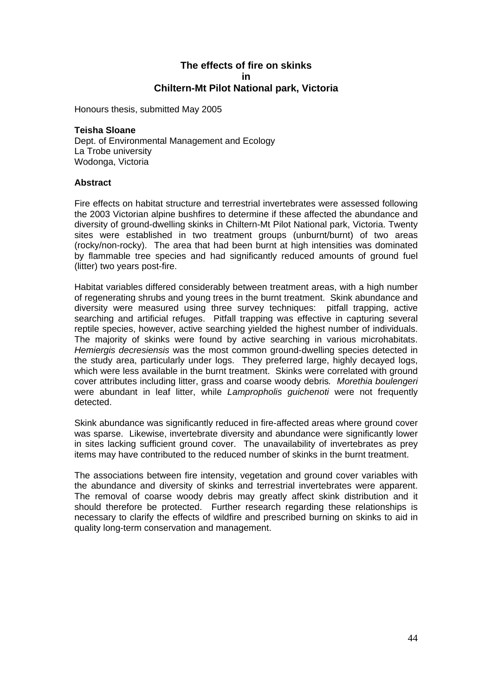### **The effects of fire on skinks in Chiltern-Mt Pilot National park, Victoria**

Honours thesis, submitted May 2005

#### **Teisha Sloane**

Dept. of Environmental Management and Ecology La Trobe university Wodonga, Victoria

#### **Abstract**

Fire effects on habitat structure and terrestrial invertebrates were assessed following the 2003 Victorian alpine bushfires to determine if these affected the abundance and diversity of ground-dwelling skinks in Chiltern-Mt Pilot National park, Victoria. Twenty sites were established in two treatment groups (unburnt/burnt) of two areas (rocky/non-rocky). The area that had been burnt at high intensities was dominated by flammable tree species and had significantly reduced amounts of ground fuel (litter) two years post-fire.

Habitat variables differed considerably between treatment areas, with a high number of regenerating shrubs and young trees in the burnt treatment. Skink abundance and diversity were measured using three survey techniques: pitfall trapping, active searching and artificial refuges. Pitfall trapping was effective in capturing several reptile species, however, active searching yielded the highest number of individuals. The majority of skinks were found by active searching in various microhabitats. *Hemiergis decresiensis* was the most common ground-dwelling species detected in the study area, particularly under logs. They preferred large, highly decayed logs, which were less available in the burnt treatment. Skinks were correlated with ground cover attributes including litter, grass and coarse woody debris*. Morethia boulengeri* were abundant in leaf litter, while *Lampropholis guichenoti* were not frequently detected.

Skink abundance was significantly reduced in fire-affected areas where ground cover was sparse. Likewise, invertebrate diversity and abundance were significantly lower in sites lacking sufficient ground cover. The unavailability of invertebrates as prey items may have contributed to the reduced number of skinks in the burnt treatment.

The associations between fire intensity, vegetation and ground cover variables with the abundance and diversity of skinks and terrestrial invertebrates were apparent. The removal of coarse woody debris may greatly affect skink distribution and it should therefore be protected. Further research regarding these relationships is necessary to clarify the effects of wildfire and prescribed burning on skinks to aid in quality long-term conservation and management.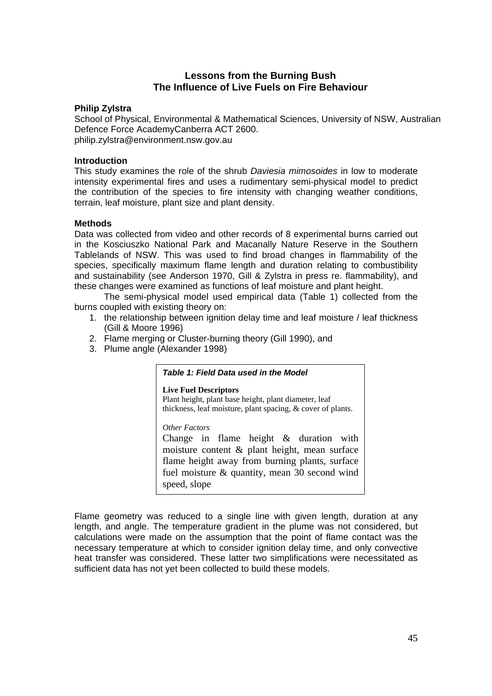## **Lessons from the Burning Bush The Influence of Live Fuels on Fire Behaviour**

#### **Philip Zylstra**

School of Physical, Environmental & Mathematical Sciences, University of NSW, Australian Defence Force AcademyCanberra ACT 2600. philip.zylstra@environment.nsw.gov.au

#### **Introduction**

This study examines the role of the shrub *Daviesia mimosoides* in low to moderate intensity experimental fires and uses a rudimentary semi-physical model to predict the contribution of the species to fire intensity with changing weather conditions, terrain, leaf moisture, plant size and plant density.

#### **Methods**

Data was collected from video and other records of 8 experimental burns carried out in the Kosciuszko National Park and Macanally Nature Reserve in the Southern Tablelands of NSW. This was used to find broad changes in flammability of the species, specifically maximum flame length and duration relating to combustibility and sustainability (see Anderson 1970, Gill & Zylstra in press re. flammability), and these changes were examined as functions of leaf moisture and plant height.

The semi-physical model used empirical data (Table 1) collected from the burns coupled with existing theory on:

- 1. the relationship between ignition delay time and leaf moisture / leaf thickness (Gill & Moore 1996)
- 2. Flame merging or Cluster-burning theory (Gill 1990), and
- 3. Plume angle (Alexander 1998)

#### *Table 1: Field Data used in the Model*

**Live Fuel Descriptors**  Plant height, plant base height, plant diameter, leaf thickness, leaf moisture, plant spacing, & cover of plants.

*Other Factors*

Change in flame height & duration with moisture content & plant height, mean surface flame height away from burning plants, surface fuel moisture & quantity, mean 30 second wind speed, slope

Flame geometry was reduced to a single line with given length, duration at any length, and angle. The temperature gradient in the plume was not considered, but calculations were made on the assumption that the point of flame contact was the necessary temperature at which to consider ignition delay time, and only convective heat transfer was considered. These latter two simplifications were necessitated as sufficient data has not yet been collected to build these models.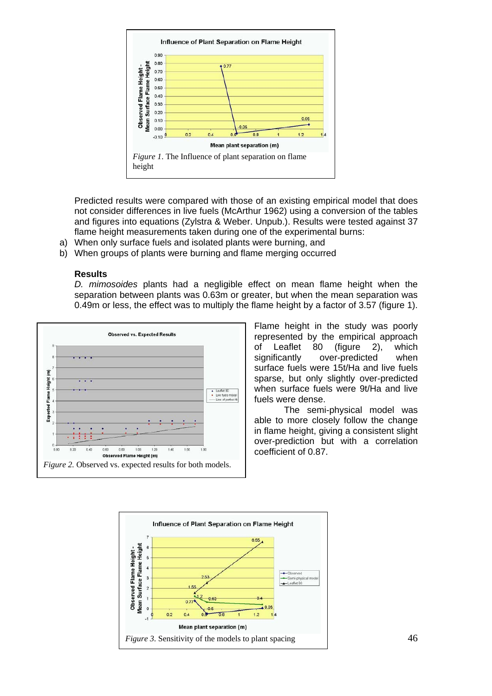

Predicted results were compared with those of an existing empirical model that does not consider differences in live fuels (McArthur 1962) using a conversion of the tables and figures into equations (Zylstra & Weber. Unpub.). Results were tested against 37 flame height measurements taken during one of the experimental burns:

- a) When only surface fuels and isolated plants were burning, and
- b) When groups of plants were burning and flame merging occurred

#### **Results**

*D. mimosoides* plants had a negligible effect on mean flame height when the separation between plants was 0.63m or greater, but when the mean separation was 0.49m or less, the effect was to multiply the flame height by a factor of 3.57 (figure 1).



Flame height in the study was poorly represented by the empirical approach of Leaflet 80 (figure 2), which significantly over-predicted when surface fuels were 15t/Ha and live fuels sparse, but only slightly over-predicted when surface fuels were 9t/Ha and live fuels were dense.

The semi-physical model was able to more closely follow the change in flame height, giving a consistent slight over-prediction but with a correlation coefficient of 0.87.

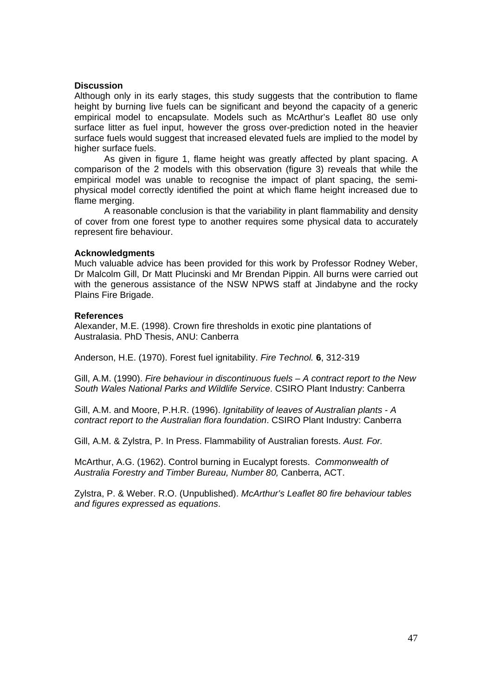#### **Discussion**

Although only in its early stages, this study suggests that the contribution to flame height by burning live fuels can be significant and beyond the capacity of a generic empirical model to encapsulate. Models such as McArthur's Leaflet 80 use only surface litter as fuel input, however the gross over-prediction noted in the heavier surface fuels would suggest that increased elevated fuels are implied to the model by higher surface fuels.

As given in figure 1, flame height was greatly affected by plant spacing. A comparison of the 2 models with this observation (figure 3) reveals that while the empirical model was unable to recognise the impact of plant spacing, the semiphysical model correctly identified the point at which flame height increased due to flame merging.

A reasonable conclusion is that the variability in plant flammability and density of cover from one forest type to another requires some physical data to accurately represent fire behaviour.

#### **Acknowledgments**

Much valuable advice has been provided for this work by Professor Rodney Weber, Dr Malcolm Gill, Dr Matt Plucinski and Mr Brendan Pippin. All burns were carried out with the generous assistance of the NSW NPWS staff at Jindabyne and the rocky Plains Fire Brigade.

#### **References**

Alexander, M.E. (1998). Crown fire thresholds in exotic pine plantations of Australasia. PhD Thesis, ANU: Canberra

Anderson, H.E. (1970). Forest fuel ignitability. *Fire Technol.* **6**, 312-319

Gill, A.M. (1990). *Fire behaviour in discontinuous fuels – A contract report to the New South Wales National Parks and Wildlife Service*. CSIRO Plant Industry: Canberra

Gill, A.M. and Moore, P.H.R. (1996). *Ignitability of leaves of Australian plants* - *A contract report to the Australian flora foundation*. CSIRO Plant Industry: Canberra

Gill, A.M. & Zylstra, P. In Press. Flammability of Australian forests. *Aust. For.*

McArthur, A.G. (1962). Control burning in Eucalypt forests. *Commonwealth of Australia Forestry and Timber Bureau, Number 80,* Canberra, ACT.

Zylstra, P. & Weber. R.O. (Unpublished). *McArthur's Leaflet 80 fire behaviour tables and figures expressed as equations*.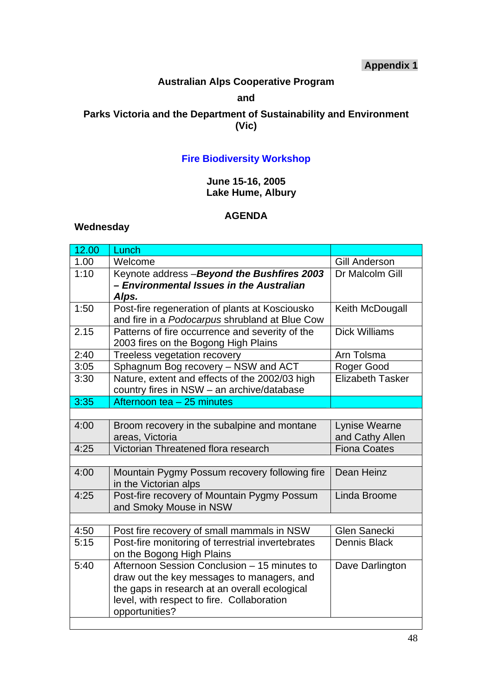## **Appendix 1**

## **Australian Alps Cooperative Program**

#### **and**

## **Parks Victoria and the Department of Sustainability and Environment (Vic)**

## **Fire Biodiversity Workshop**

## **June 15-16, 2005 Lake Hume, Albury**

## **AGENDA**

## **Wednesday**

| 12.00 | Lunch                                                                                                                                                                                                       |                                  |
|-------|-------------------------------------------------------------------------------------------------------------------------------------------------------------------------------------------------------------|----------------------------------|
| 1.00  | Welcome                                                                                                                                                                                                     | <b>Gill Anderson</b>             |
| 1:10  | Keynote address - Beyond the Bushfires 2003<br>- Environmental Issues in the Australian<br>Alps.                                                                                                            | Dr Malcolm Gill                  |
| 1:50  | Post-fire regeneration of plants at Kosciousko<br>and fire in a Podocarpus shrubland at Blue Cow                                                                                                            | Keith McDougall                  |
| 2.15  | Patterns of fire occurrence and severity of the<br>2003 fires on the Bogong High Plains                                                                                                                     | <b>Dick Williams</b>             |
| 2:40  | Treeless vegetation recovery                                                                                                                                                                                | Arn Tolsma                       |
| 3:05  | Sphagnum Bog recovery - NSW and ACT                                                                                                                                                                         | Roger Good                       |
| 3:30  | Nature, extent and effects of the 2002/03 high<br>country fires in NSW - an archive/database                                                                                                                | <b>Elizabeth Tasker</b>          |
| 3:35  | Afternoon tea - 25 minutes                                                                                                                                                                                  |                                  |
|       |                                                                                                                                                                                                             |                                  |
| 4:00  | Broom recovery in the subalpine and montane<br>areas, Victoria                                                                                                                                              | Lynise Wearne<br>and Cathy Allen |
| 4:25  | Victorian Threatened flora research                                                                                                                                                                         | <b>Fiona Coates</b>              |
|       |                                                                                                                                                                                                             |                                  |
| 4:00  | Mountain Pygmy Possum recovery following fire<br>in the Victorian alps                                                                                                                                      | Dean Heinz                       |
| 4:25  | Post-fire recovery of Mountain Pygmy Possum<br>and Smoky Mouse in NSW                                                                                                                                       | Linda Broome                     |
|       |                                                                                                                                                                                                             |                                  |
| 4:50  | Post fire recovery of small mammals in NSW                                                                                                                                                                  | <b>Glen Sanecki</b>              |
| 5:15  | Post-fire monitoring of terrestrial invertebrates<br>on the Bogong High Plains                                                                                                                              | <b>Dennis Black</b>              |
| 5:40  | Afternoon Session Conclusion - 15 minutes to<br>draw out the key messages to managers, and<br>the gaps in research at an overall ecological<br>level, with respect to fire. Collaboration<br>opportunities? | Dave Darlington                  |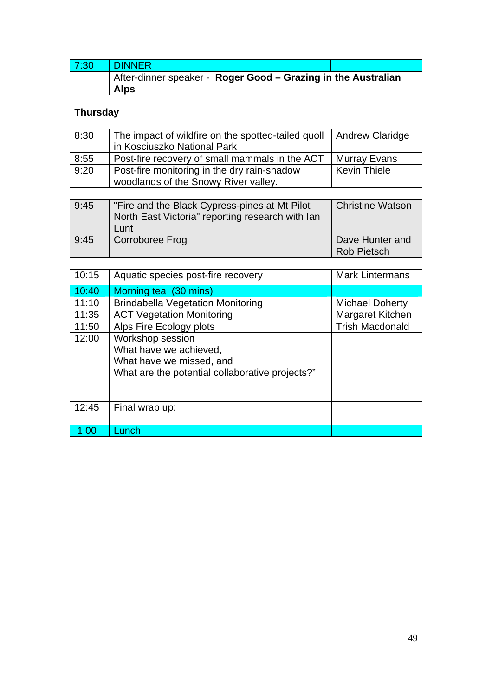| 7:30 | <b>DINNER</b>                                                 |  |
|------|---------------------------------------------------------------|--|
|      | After-dinner speaker - Roger Good - Grazing in the Australian |  |
|      | <b>Alps</b>                                                   |  |

## **Thursday**

| 8:30  | The impact of wildfire on the spotted-tailed quoll | <b>Andrew Claridge</b>  |
|-------|----------------------------------------------------|-------------------------|
|       | in Kosciuszko National Park                        |                         |
| 8:55  | Post-fire recovery of small mammals in the ACT     | <b>Murray Evans</b>     |
| 9:20  | Post-fire monitoring in the dry rain-shadow        | <b>Kevin Thiele</b>     |
|       | woodlands of the Snowy River valley.               |                         |
|       |                                                    |                         |
| 9:45  | "Fire and the Black Cypress-pines at Mt Pilot      | <b>Christine Watson</b> |
|       | North East Victoria" reporting research with lan   |                         |
|       | Lunt                                               |                         |
| 9:45  | Corroboree Frog                                    | Dave Hunter and         |
|       |                                                    | <b>Rob Pietsch</b>      |
|       |                                                    |                         |
| 10:15 | Aquatic species post-fire recovery                 | <b>Mark Lintermans</b>  |
| 10:40 | Morning tea (30 mins)                              |                         |
| 11:10 | <b>Brindabella Vegetation Monitoring</b>           | <b>Michael Doherty</b>  |
| 11:35 | <b>ACT Vegetation Monitoring</b>                   | Margaret Kitchen        |
|       |                                                    |                         |
| 11:50 | Alps Fire Ecology plots                            | <b>Trish Macdonald</b>  |
| 12:00 | Workshop session                                   |                         |
|       | What have we achieved,                             |                         |
|       | What have we missed, and                           |                         |
|       |                                                    |                         |
|       | What are the potential collaborative projects?"    |                         |
|       |                                                    |                         |
| 12:45 | Final wrap up:                                     |                         |
|       |                                                    |                         |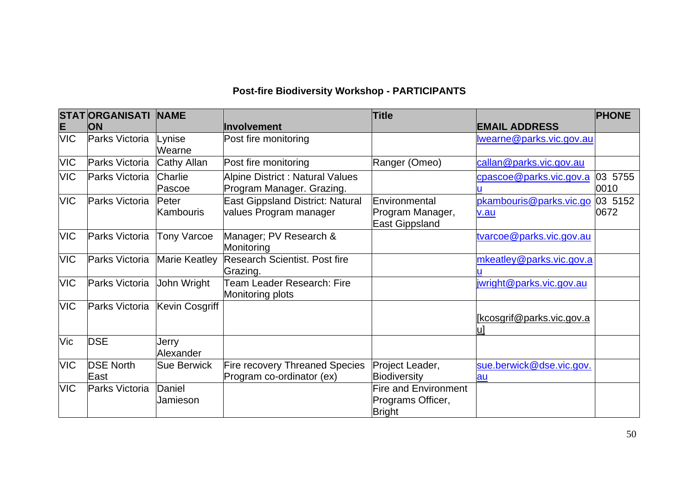## **Post-fire Biodiversity Workshop - PARTICIPANTS**

|            | <b>STATORGANISATI NAME</b> |                           |                                                                      | <b>Title</b>                                                      |                                  | <b>PHONE</b>    |
|------------|----------------------------|---------------------------|----------------------------------------------------------------------|-------------------------------------------------------------------|----------------------------------|-----------------|
| E          | <b>ON</b>                  |                           | Involvement                                                          |                                                                   | <b>EMAIL ADDRESS</b>             |                 |
| <b>VIC</b> | Parks Victoria             | Lynise<br>Wearne          | Post fire monitoring                                                 |                                                                   | wearne@parks.vic.gov.au          |                 |
| <b>VIC</b> | Parks Victoria             | Cathy Allan               | Post fire monitoring                                                 | Ranger (Omeo)                                                     | callan@parks.vic.gov.au          |                 |
| <b>VIC</b> | Parks Victoria             | Charlie<br>Pascoe         | <b>Alpine District : Natural Values</b><br>Program Manager. Grazing. |                                                                   | cpascoe@parks.vic.gov.a          | 03 5755<br>0010 |
| <b>VIC</b> | Parks Victoria             | Peter<br><b>Kambouris</b> | <b>East Gippsland District: Natural</b><br>values Program manager    | Environmental<br>Program Manager,<br><b>East Gippsland</b>        | pkambouris@parks.vic.go<br>v.au  | 03 5152<br>0672 |
| <b>VIC</b> | Parks Victoria             | <b>Tony Varcoe</b>        | Manager; PV Research &<br>Monitoring                                 |                                                                   | tvarcoe@parks.vic.gov.au         |                 |
| <b>VIC</b> | Parks Victoria             | <b>Marie Keatley</b>      | <b>Research Scientist. Post fire</b><br>Grazing.                     |                                                                   | mkeatley@parks.vic.gov.a         |                 |
| <b>VIC</b> | Parks Victoria             | John Wright               | <b>Team Leader Research: Fire</b><br>Monitoring plots                |                                                                   | jwright@parks.vic.gov.au         |                 |
| <b>VIC</b> | Parks Victoria             | Kevin Cosgriff            |                                                                      |                                                                   | <u>[kcosgrif@parks.vic.gov.a</u> |                 |
| Vic        | <b>DSE</b>                 | Jerry<br>Alexander        |                                                                      |                                                                   |                                  |                 |
| <b>VIC</b> | <b>DSE North</b><br>East   | <b>Sue Berwick</b>        | <b>Fire recovery Threaned Species</b><br>Program co-ordinator (ex)   | Project Leader,<br><b>Biodiversity</b>                            | sue.berwick@dse.vic.gov.<br>au   |                 |
| <b>VIC</b> | Parks Victoria             | Daniel<br>Jamieson        |                                                                      | <b>Fire and Environment</b><br>Programs Officer,<br><b>Bright</b> |                                  |                 |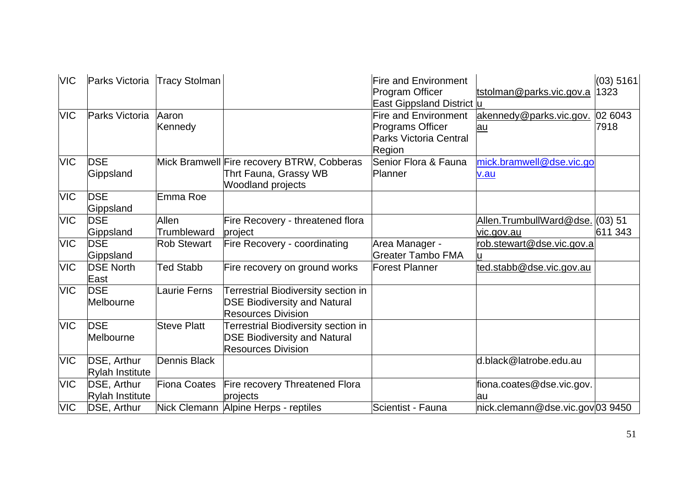| <b>VIC</b> | Parks Victoria Tracy Stolman   |                             |                                                                                                         | <b>Fire and Environment</b><br>Program Officer<br>East Gippsland District u                       | tstolman@parks.vic.gov.a                      | (03) 5161<br>1323 |
|------------|--------------------------------|-----------------------------|---------------------------------------------------------------------------------------------------------|---------------------------------------------------------------------------------------------------|-----------------------------------------------|-------------------|
| <b>VIC</b> | Parks Victoria                 | Aaron<br>Kennedy            |                                                                                                         | <b>Fire and Environment</b><br><b>Programs Officer</b><br><b>Parks Victoria Central</b><br>Region | akennedy@parks.vic.gov.<br>au                 | 02 6043<br>7918   |
| <b>VIC</b> | <b>IDSE</b><br>Gippsland       |                             | Mick Bramwell Fire recovery BTRW, Cobberas<br>Thrt Fauna, Grassy WB<br><b>Woodland projects</b>         | Senior Flora & Fauna<br>Planner                                                                   | mick.bramwell@dse.vic.go<br>v.au              |                   |
| <b>VIC</b> | <b>DSE</b><br>Gippsland        | Emma Roe                    |                                                                                                         |                                                                                                   |                                               |                   |
| <b>VIC</b> | <b>DSE</b><br>Gippsland        | <b>Allen</b><br>Trumbleward | Fire Recovery - threatened flora<br>project                                                             |                                                                                                   | Allen.TrumbullWard@dse. (03) 51<br>vic.gov.au | 611 343           |
| <b>VIC</b> | <b>IDSE</b><br>Gippsland       | <b>Rob Stewart</b>          | Fire Recovery - coordinating                                                                            | Area Manager -<br><b>Greater Tambo FMA</b>                                                        | rob.stewart@dse.vic.gov.a                     |                   |
| <b>VIC</b> | <b>DSE North</b><br>lEast      | <b>Ted Stabb</b>            | Fire recovery on ground works                                                                           | <b>Forest Planner</b>                                                                             | ted.stabb@dse.vic.gov.au                      |                   |
| <b>VIC</b> | <b>DSE</b><br>Melbourne        | <b>Laurie Ferns</b>         | Terrestrial Biodiversity section in<br><b>DSE Biodiversity and Natural</b><br><b>Resources Division</b> |                                                                                                   |                                               |                   |
| <b>VIC</b> | <b>DSE</b><br>Melbourne        | <b>Steve Platt</b>          | Terrestrial Biodiversity section in<br><b>DSE Biodiversity and Natural</b><br><b>Resources Division</b> |                                                                                                   |                                               |                   |
| <b>VIC</b> | DSE, Arthur<br>Rylah Institute | Dennis Black                |                                                                                                         |                                                                                                   | d.black@latrobe.edu.au                        |                   |
| <b>VIC</b> | DSE, Arthur<br>Rylah Institute | <b>Fiona Coates</b>         | Fire recovery Threatened Flora<br>projects                                                              |                                                                                                   | fiona.coates@dse.vic.gov.<br>au               |                   |
| <b>VIC</b> | DSE, Arthur                    |                             | Nick Clemann Alpine Herps - reptiles                                                                    | Scientist - Fauna                                                                                 | nick.clemann@dse.vic.gov 03 9450              |                   |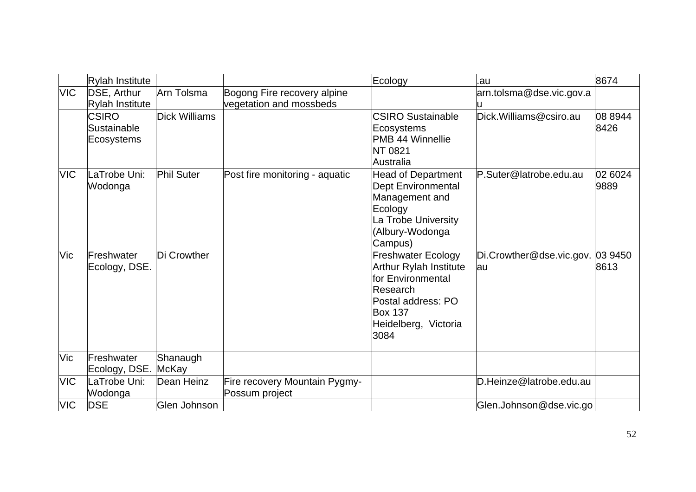|            | Rylah Institute                           |                      |                                                        | Ecology                                                                                                                                                             | .au                             | 8674            |
|------------|-------------------------------------------|----------------------|--------------------------------------------------------|---------------------------------------------------------------------------------------------------------------------------------------------------------------------|---------------------------------|-----------------|
| <b>VIC</b> | DSE, Arthur<br><b>Rylah Institute</b>     | Arn Tolsma           | Bogong Fire recovery alpine<br>vegetation and mossbeds |                                                                                                                                                                     | arn.tolsma@dse.vic.gov.a<br>lu  |                 |
|            | <b>CSIRO</b><br>Sustainable<br>Ecosystems | <b>Dick Williams</b> |                                                        | <b>CSIRO Sustainable</b><br>Ecosystems<br><b>PMB 44 Winnellie</b><br>NT 0821<br>Australia                                                                           | Dick. Williams@csiro.au         | 08 8944<br>8426 |
| <b>VIC</b> | LaTrobe Uni:<br>Wodonga                   | <b>Phil Suter</b>    | Post fire monitoring - aquatic                         | <b>Head of Department</b><br>Dept Environmental<br>Management and<br>Ecology<br>La Trobe University<br>Albury-Wodonga<br>Campus)                                    | P.Suter@latrobe.edu.au          | 02 6024<br>9889 |
| Vic        | Freshwater<br>Ecology, DSE.               | Di Crowther          |                                                        | <b>Freshwater Ecology</b><br><b>Arthur Rylah Institute</b><br>for Environmental<br>Research<br>Postal address: PO<br><b>Box 137</b><br>Heidelberg, Victoria<br>3084 | Di.Crowther@dse.vic.gov.<br>lau | 03 9450<br>8613 |
| <b>Vic</b> | Freshwater<br>Ecology, DSE.               | Shanaugh<br>McKay    |                                                        |                                                                                                                                                                     |                                 |                 |
| <b>VIC</b> | LaTrobe Uni:<br>Wodonga                   | Dean Heinz           | Fire recovery Mountain Pygmy-<br>Possum project        |                                                                                                                                                                     | D.Heinze@latrobe.edu.au         |                 |
| <b>VIC</b> | <b>IDSE</b>                               | Glen Johnson         |                                                        |                                                                                                                                                                     | Glen.Johnson@dse.vic.go         |                 |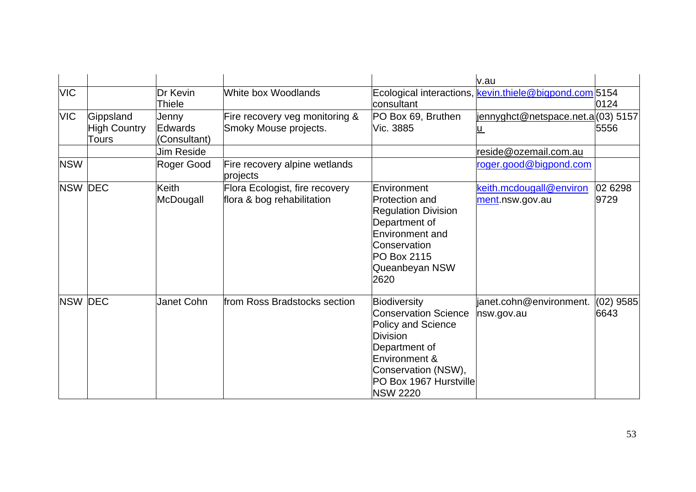|            |                                           |                                  |                                                              |                                                                                                                                                                                            | v.au                                                   |                     |
|------------|-------------------------------------------|----------------------------------|--------------------------------------------------------------|--------------------------------------------------------------------------------------------------------------------------------------------------------------------------------------------|--------------------------------------------------------|---------------------|
| <b>VIC</b> |                                           | Dr Kevin<br>Thiele               | White box Woodlands                                          | lconsultant                                                                                                                                                                                | Ecological interactions, kevin.thiele@bigpond.com 5154 | 0124                |
| <b>VIC</b> | Gippsland<br><b>High Country</b><br>Tours | Jenny<br>Edwards<br>(Consultant) | Fire recovery veg monitoring &<br>Smoky Mouse projects.      | PO Box 69, Bruthen<br>Vic. 3885                                                                                                                                                            | <u>jennyghct@netspace.net.a </u> (03) 5157             | 5556                |
|            |                                           | Jim Reside                       |                                                              |                                                                                                                                                                                            | reside@ozemail.com.au                                  |                     |
| <b>NSW</b> |                                           | Roger Good                       | Fire recovery alpine wetlands<br>projects                    |                                                                                                                                                                                            | roger.good@bigpond.com                                 |                     |
|            | <b>NSW DEC</b>                            | Keith<br>McDougall               | Flora Ecologist, fire recovery<br>flora & bog rehabilitation | Environment<br><b>Protection and</b><br><b>Regulation Division</b><br>Department of<br>Environment and<br>Conservation<br>PO Box 2115<br>Queanbeyan NSW<br>2620                            | keith.mcdougall@environ<br>ment.nsw.gov.au             | 02 6298<br>9729     |
|            | <b>NSW DEC</b>                            | Janet Cohn                       | from Ross Bradstocks section                                 | Biodiversity<br><b>Conservation Science</b><br>Policy and Science<br><b>Division</b><br>Department of<br>Environment &<br>Conservation (NSW),<br>PO Box 1967 Hurstville<br><b>NSW 2220</b> | janet.cohn@environment.<br>nsw.gov.au                  | $(02)$ 9585<br>6643 |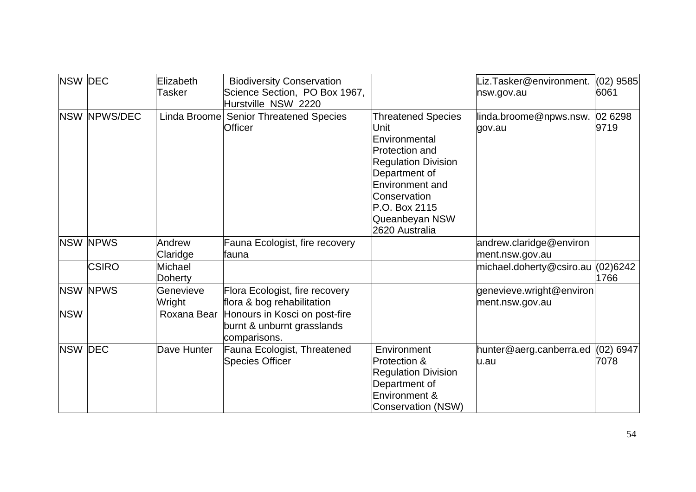| <b>NSW DEC</b> |                 | Elizabeth<br>Tasker | <b>Biodiversity Conservation</b><br>Science Section, PO Box 1967,<br>Hurstville NSW 2220 |                                                                                                                                                                                                                           | Liz. Tasker@environment.<br>nsw.gov.au       | $(02)$ 9585<br>6061 |
|----------------|-----------------|---------------------|------------------------------------------------------------------------------------------|---------------------------------------------------------------------------------------------------------------------------------------------------------------------------------------------------------------------------|----------------------------------------------|---------------------|
|                | NSW NPWS/DEC    | Linda Broome        | <b>Senior Threatened Species</b><br><b>Officer</b>                                       | <b>Threatened Species</b><br>Unit<br>Environmental<br><b>Protection and</b><br><b>Regulation Division</b><br>Department of<br><b>Environment and</b><br>Conservation<br>P.O. Box 2115<br>Queanbeyan NSW<br>2620 Australia | linda.broome@npws.nsw.<br>gov.au             | 02 6298<br>9719     |
|                | <b>NSW NPWS</b> | Andrew<br>Claridge  | Fauna Ecologist, fire recovery<br>fauna                                                  |                                                                                                                                                                                                                           | andrew.claridge@environ<br>ment.nsw.gov.au   |                     |
|                | <b>CSIRO</b>    | Michael<br>Doherty  |                                                                                          |                                                                                                                                                                                                                           | michael.doherty@csiro.au (02)6242            | 1766                |
|                | <b>NSW NPWS</b> | Genevieve<br>Wright | Flora Ecologist, fire recovery<br>flora & bog rehabilitation                             |                                                                                                                                                                                                                           | genevieve.wright@environ<br>ment.nsw.gov.au  |                     |
| <b>NSW</b>     |                 | Roxana Bear         | Honours in Kosci on post-fire<br>burnt & unburnt grasslands<br>comparisons.              |                                                                                                                                                                                                                           |                                              |                     |
| <b>NSW DEC</b> |                 | Dave Hunter         | Fauna Ecologist, Threatened<br><b>Species Officer</b>                                    | Environment<br>Protection &<br><b>Regulation Division</b><br>Department of<br>Environment &<br>Conservation (NSW)                                                                                                         | hunter@aerg.canberra.ed $(02)$ 6947<br>lu.au | 7078                |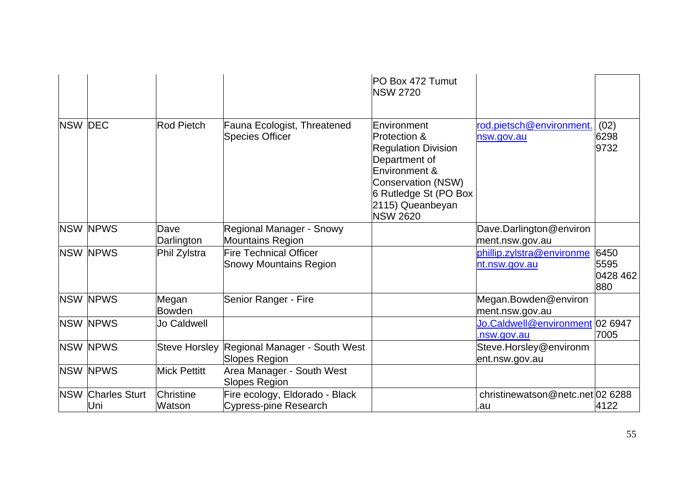|                |                             |                            |                                                                     | PO Box 472 Tumut<br><b>NSW 2720</b>                                                                                                                                                      |                                                |                                 |
|----------------|-----------------------------|----------------------------|---------------------------------------------------------------------|------------------------------------------------------------------------------------------------------------------------------------------------------------------------------------------|------------------------------------------------|---------------------------------|
| <b>NSW DEC</b> |                             | Rod Pietch                 | Fauna Ecologist, Threatened<br><b>Species Officer</b>               | Environment<br>Protection &<br><b>Regulation Division</b><br>Department of<br>Environment &<br><b>Conservation (NSW)</b><br>6 Rutledge St (PO Box<br>2115) Queanbeyan<br><b>NSW 2620</b> | rod.pietsch@environment.<br>nsw.gov.au         | (02)<br>6298<br>9732            |
|                | <b>NSW NPWS</b>             | Dave<br>Darlington         | Regional Manager - Snowy<br><b>Mountains Region</b>                 |                                                                                                                                                                                          | Dave.Darlington@environ<br>ment.nsw.gov.au     |                                 |
|                | <b>NSW NPWS</b>             | Phil Zylstra               | <b>Fire Technical Officer</b><br><b>Snowy Mountains Region</b>      |                                                                                                                                                                                          | phillip.zylstra@environme<br>nt.nsw.gov.au     | 6450<br>5595<br>0428 462<br>880 |
|                | <b>NSW NPWS</b>             | Megan<br><b>Bowden</b>     | Senior Ranger - Fire                                                |                                                                                                                                                                                          | Megan.Bowden@environ<br>ment.nsw.gov.au        |                                 |
|                | <b>NSW NPWS</b>             | Jo Caldwell                |                                                                     |                                                                                                                                                                                          | Jo.Caldwell@environment 02 6947<br>.nsw.gov.au | 7005                            |
|                | <b>NSW NPWS</b>             |                            | Steve Horsley Regional Manager - South West<br><b>Slopes Region</b> |                                                                                                                                                                                          | Steve.Horsley@environm<br>ent.nsw.gov.au       |                                 |
|                | <b>NSW NPWS</b>             | <b>Mick Pettitt</b>        | Area Manager - South West<br><b>Slopes Region</b>                   |                                                                                                                                                                                          |                                                |                                 |
| <b>NSW</b>     | <b>Charles Sturt</b><br>Uni | <b>Christine</b><br>Watson | Fire ecology, Eldorado - Black<br><b>Cypress-pine Research</b>      |                                                                                                                                                                                          | christinewatson@netc.net 02 6288<br>.au        | 4122                            |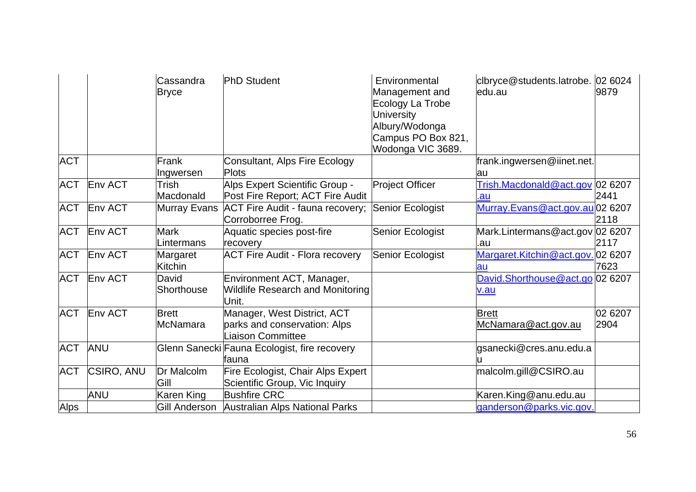|             |                   | Cassandra<br><b>Bryce</b>       | <b>PhD Student</b>                                                               | Environmental<br>Management and<br>Ecology La Trobe<br><b>University</b><br>Albury/Wodonga<br>Campus PO Box 821,<br>Wodonga VIC 3689. | clbryce@students.latrobe. 02 6024<br>ledu.au | 9879            |
|-------------|-------------------|---------------------------------|----------------------------------------------------------------------------------|---------------------------------------------------------------------------------------------------------------------------------------|----------------------------------------------|-----------------|
| <b>ACT</b>  |                   | Frank<br>Ingwersen              | Consultant, Alps Fire Ecology<br><b>Plots</b>                                    |                                                                                                                                       | frank.ingwersen@iinet.net.<br>lau            |                 |
| <b>ACT</b>  | Env ACT           | Trish<br>Macdonald              | Alps Expert Scientific Group -<br>Post Fire Report; ACT Fire Audit               | <b>Project Officer</b>                                                                                                                | Trish.Macdonald@act.gov 02 6207<br>.au       | 2441            |
| <b>ACT</b>  | <b>Env ACT</b>    | <b>Murray Evans</b>             | ACT Fire Audit - fauna recovery;<br>Corroborree Frog.                            | Senior Ecologist                                                                                                                      | Murray.Evans@act.gov.au 02 6207              | 2118            |
| <b>ACT</b>  | Env ACT           | <b>Mark</b><br>Lintermans       | Aquatic species post-fire<br>recovery                                            | Senior Ecologist                                                                                                                      | Mark.Lintermans@act.gov 02 6207<br>.au       | 2117            |
| <b>ACT</b>  | Env ACT           | Margaret<br><b>Kitchin</b>      | <b>ACT Fire Audit - Flora recovery</b>                                           | Senior Ecologist                                                                                                                      | Margaret.Kitchin@act.gov.02 6207<br>lau      | 7623            |
| <b>ACT</b>  | Env ACT           | David<br>Shorthouse             | Environment ACT, Manager,<br><b>Wildlife Research and Monitoring</b><br>Unit.    |                                                                                                                                       | David.Shorthouse@act.go 02 6207<br>v.au      |                 |
| <b>ACT</b>  | Env ACT           | <b>Brett</b><br><b>McNamara</b> | Manager, West District, ACT<br>parks and conservation: Alps<br>Liaison Committee |                                                                                                                                       | <b>Brett</b><br>McNamara@act.gov.au          | 02 6207<br>2904 |
| <b>ACT</b>  | <b>ANU</b>        |                                 | Glenn Sanecki Fauna Ecologist, fire recovery<br>lfauna                           |                                                                                                                                       | gsanecki@cres.anu.edu.a                      |                 |
| <b>ACT</b>  | <b>CSIRO, ANU</b> | Dr Malcolm<br>Gill              | Fire Ecologist, Chair Alps Expert<br>Scientific Group, Vic Inquiry               |                                                                                                                                       | malcolm.gill@CSIRO.au                        |                 |
|             | <b>ANU</b>        | Karen King                      | <b>Bushfire CRC</b>                                                              |                                                                                                                                       | Karen.King@anu.edu.au                        |                 |
| <b>Alps</b> |                   | Gill Anderson                   | Australian Alps National Parks                                                   |                                                                                                                                       | ganderson@parks.vic.gov.                     |                 |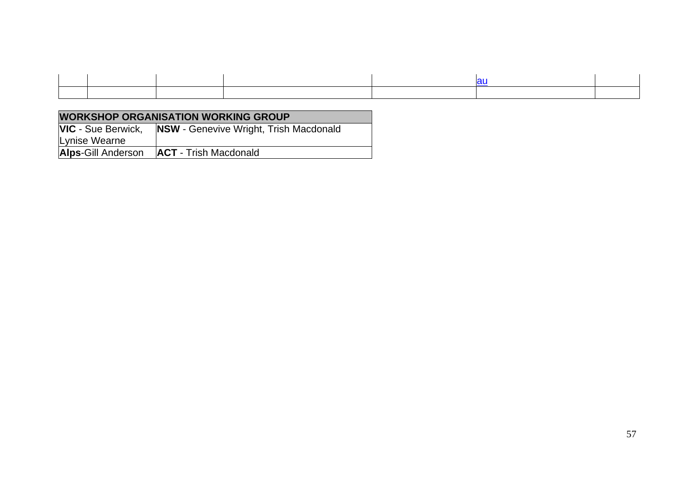| <b>WORKSHOP ORGANISATION WORKING GROUP</b> |                                               |  |  |  |
|--------------------------------------------|-----------------------------------------------|--|--|--|
| <b>VIC</b> - Sue Berwick,                  | <b>NSW</b> - Genevive Wright, Trish Macdonald |  |  |  |
| Lynise Wearne                              |                                               |  |  |  |
| <b>Alps-Gill Anderson</b>                  | <b>ACT</b> - Trish Macdonald                  |  |  |  |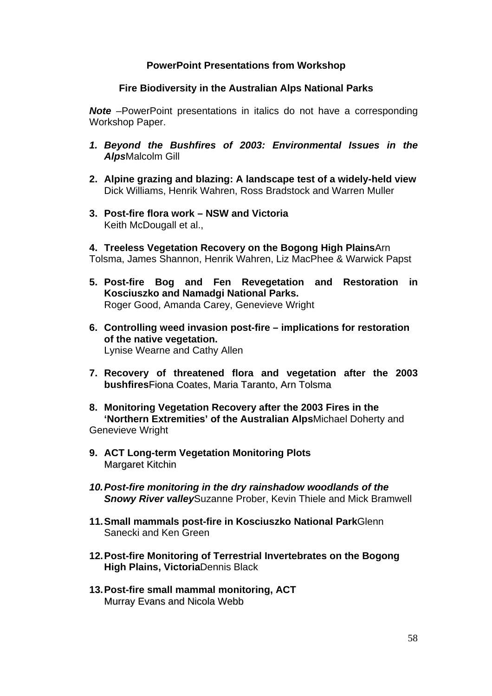## **PowerPoint Presentations from Workshop**

### **Fire Biodiversity in the Australian Alps National Parks**

**Note** –PowerPoint presentations in italics do not have a corresponding Workshop Paper.

- *1. Beyond the Bushfires of 2003: Environmental Issues in the Alps*Malcolm Gill
- **2. Alpine grazing and blazing: A landscape test of a widely-held view**  Dick Williams, Henrik Wahren, Ross Bradstock and Warren Muller
- **3. Post-fire flora work NSW and Victoria**  Keith McDougall et al.,
- **4. Treeless Vegetation Recovery on the Bogong High Plains**Arn Tolsma, James Shannon, Henrik Wahren, Liz MacPhee & Warwick Papst
- **5. Post-fire Bog and Fen Revegetation and Restoration in Kosciuszko and Namadgi National Parks.**  Roger Good, Amanda Carey, Genevieve Wright
- **6. Controlling weed invasion post-fire implications for restoration of the native vegetation.**  Lynise Wearne and Cathy Allen
- **7. Recovery of threatened flora and vegetation after the 2003 bushfires**Fiona Coates, Maria Taranto, Arn Tolsma
- **8. Monitoring Vegetation Recovery after the 2003 Fires in the 'Northern Extremities' of the Australian Alps**Michael Doherty and Genevieve Wright
- **9. ACT Long-term Vegetation Monitoring Plots**  Margaret Kitchin
- *10. Post-fire monitoring in the dry rainshadow woodlands of the Snowy River valley*Suzanne Prober, Kevin Thiele and Mick Bramwell
- **11. Small mammals post-fire in Kosciuszko National Park**Glenn Sanecki and Ken Green
- **12. Post-fire Monitoring of Terrestrial Invertebrates on the Bogong High Plains, Victoria**Dennis Black
- **13. Post-fire small mammal monitoring, ACT**  Murray Evans and Nicola Webb